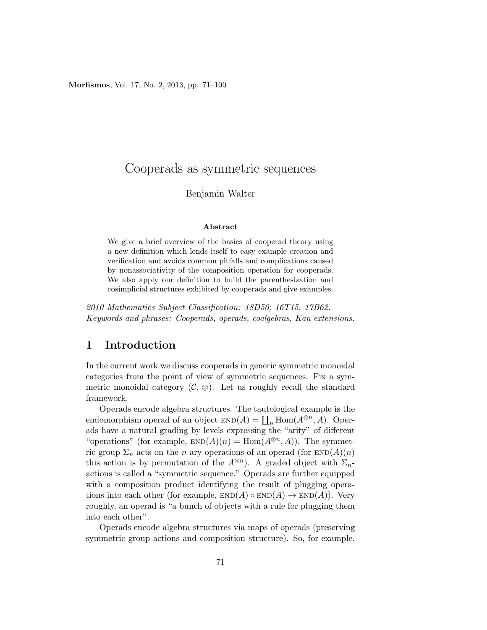Morfismos, Vol. 17, No. 2, 2013, pp. 71–100

# Cooperads as symmetric sequences

### Benjamin Walter

#### Abstract

We give a brief overview of the basics of cooperad theory using a new definition which lends itself to easy example creation and verification and avoids common pitfalls and complications caused by nonassociativity of the composition operation for cooperads. We also apply our definition to build the parenthesization and cosimplicial structures exhibited by cooperads and give examples.

*2010 Mathematics Subject Classification: 18D50; 16T15, 17B62. Keywords and phrases: Cooperads, operads, coalgebras, Kan extensions.*

## 1 Introduction

In the current work we discuss cooperads in generic symmetric monoidal categories from the point of view of symmetric sequences. Fix a symmetric monoidal category  $(\mathcal{C}, \otimes)$ . Let us roughly recall the standard framework.

Operads encode algebra structures. The tautological example is the endomorphism operad of an object  $\text{END}(A) = \coprod_n \text{Hom}(A^{\otimes n}, A)$ . Operads have a natural grading by levels expressing the "arity" of different "operations" (for example,  $END(A)(n) = Hom(A^{\otimes n}, A)$ ). The symmetric group  $\Sigma_n$  acts on the *n*-ary operations of an operad (for  $END(A)(n)$ ) this action is by permutation of the  $A^{\otimes n}$ ). A graded object with  $\Sigma_{n}$ actions is called a "symmetric sequence." Operads are further equipped with a composition product identifying the result of plugging operations into each other (for example,  $END(A) \circ END(A) \rightarrow END(A)$ ). Very roughly, an operad is "a bunch of objects with a rule for plugging them into each other".

Operads encode algebra structures via maps of operads (preserving symmetric group actions and composition structure). So, for example,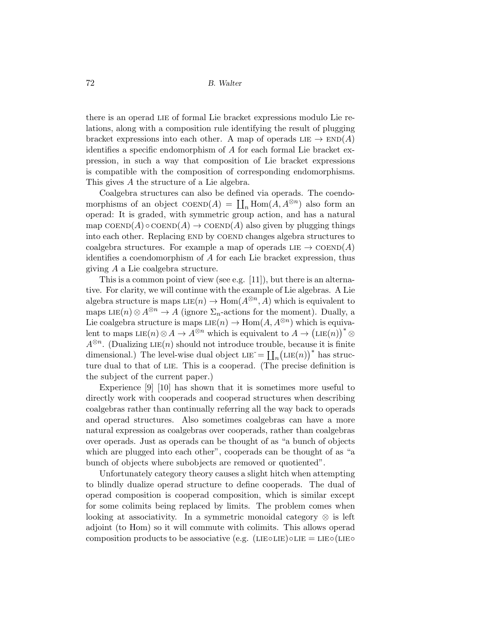there is an operad LIE of formal Lie bracket expressions modulo Lie relations, along with a composition rule identifying the result of plugging bracket expressions into each other. A map of operads  $LIE \to END(A)$ identifies a specific endomorphism of A for each formal Lie bracket expression, in such a way that composition of Lie bracket expressions is compatible with the composition of corresponding endomorphisms. This gives A the structure of a Lie algebra.

Coalgebra structures can also be defined via operads. The coendomorphisms of an object  $\text{coEND}(A) = \coprod_n \text{Hom}(A, A^{\otimes n})$  also form an operad: It is graded, with symmetric group action, and has a natural map  $\text{coEND}(A) \circ \text{coEND}(A) \rightarrow \text{coEND}(A)$  also given by plugging things into each other. Replacing END by COEND changes algebra structures to coalgebra structures. For example a map of operads LIE  $\rightarrow$  COEND(A) identifies a coendomorphism of A for each Lie bracket expression, thus giving A a Lie coalgebra structure.

This is a common point of view (see e.g. [11]), but there is an alternative. For clarity, we will continue with the example of Lie algebras. A Lie algebra structure is maps  $LE(n) \to Hom(A^{\otimes n}, A)$  which is equivalent to maps LIE(n)  $\otimes A^{\otimes n} \to A$  (ignore  $\Sigma_n$ -actions for the moment). Dually, a Lie coalgebra structure is maps  $LE(n) \to Hom(A, A^{\otimes n})$  which is equivalent to maps LIE $(n) \otimes A \to A^{\otimes n}$  which is equivalent to  $A \to (\text{LIE}(n))^* \otimes$  $A^{\otimes n}$ . (Dualizing LIE(n) should not introduce trouble, because it is finite dimensional.) The level-wise dual object  $LIE \equiv \coprod_n (LE(n))^*$  has structure dual to that of lie. This is a cooperad. (The precise definition is the subject of the current paper.)

Experience [9] [10] has shown that it is sometimes more useful to directly work with cooperads and cooperad structures when describing coalgebras rather than continually referring all the way back to operads and operad structures. Also sometimes coalgebras can have a more natural expression as coalgebras over cooperads, rather than coalgebras over operads. Just as operads can be thought of as "a bunch of objects which are plugged into each other", cooperads can be thought of as "a bunch of objects where subobjects are removed or quotiented".

Unfortunately category theory causes a slight hitch when attempting to blindly dualize operad structure to define cooperads. The dual of operad composition is cooperad composition, which is similar except for some colimits being replaced by limits. The problem comes when looking at associativity. In a symmetric monoidal category  $\otimes$  is left adjoint (to Hom) so it will commute with colimits. This allows operad composition products to be associative (e.g.  $(LIE \circ LIE) \circ LIE = LIE \circ (LIE \circ$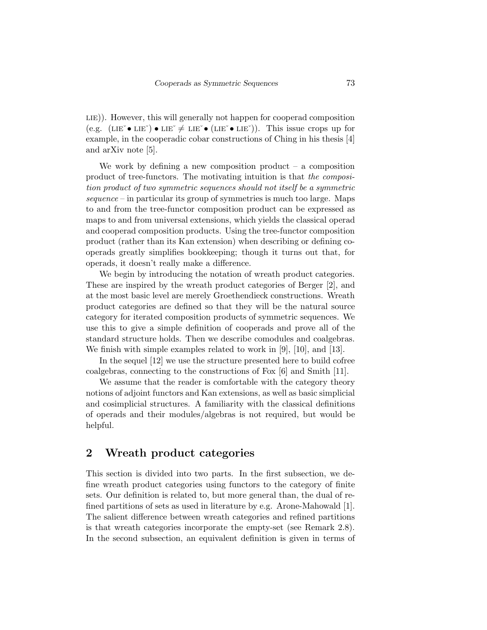LIE)). However, this will generally not happen for cooperad composition (e.g.  $(LIE^{\sim} \bullet LIE^{\sim}) \bullet LIE^{\sim} \neq LIE^{\sim} \bullet (LIE^{\sim} \bullet LIE^{\sim})$ ). This issue crops up for example, in the cooperadic cobar constructions of Ching in his thesis [4] and arXiv note [5].

We work by defining a new composition product  $-$  a composition product of tree-functors. The motivating intuition is that *the composition product of two symmetric sequences should not itself be a symmetric sequence* – in particular its group of symmetries is much too large. Maps to and from the tree-functor composition product can be expressed as maps to and from universal extensions, which yields the classical operad and cooperad composition products. Using the tree-functor composition product (rather than its Kan extension) when describing or defining cooperads greatly simplifies bookkeeping; though it turns out that, for operads, it doesn't really make a difference.

We begin by introducing the notation of wreath product categories. These are inspired by the wreath product categories of Berger [2], and at the most basic level are merely Groethendieck constructions. Wreath product categories are defined so that they will be the natural source category for iterated composition products of symmetric sequences. We use this to give a simple definition of cooperads and prove all of the standard structure holds. Then we describe comodules and coalgebras. We finish with simple examples related to work in [9], [10], and [13].

In the sequel [12] we use the structure presented here to build cofree coalgebras, connecting to the constructions of Fox [6] and Smith [11].

We assume that the reader is comfortable with the category theory notions of adjoint functors and Kan extensions, as well as basic simplicial and cosimplicial structures. A familiarity with the classical definitions of operads and their modules/algebras is not required, but would be helpful.

## 2 Wreath product categories

This section is divided into two parts. In the first subsection, we define wreath product categories using functors to the category of finite sets. Our definition is related to, but more general than, the dual of refined partitions of sets as used in literature by e.g. Arone-Mahowald [1]. The salient difference between wreath categories and refined partitions is that wreath categories incorporate the empty-set (see Remark 2.8). In the second subsection, an equivalent definition is given in terms of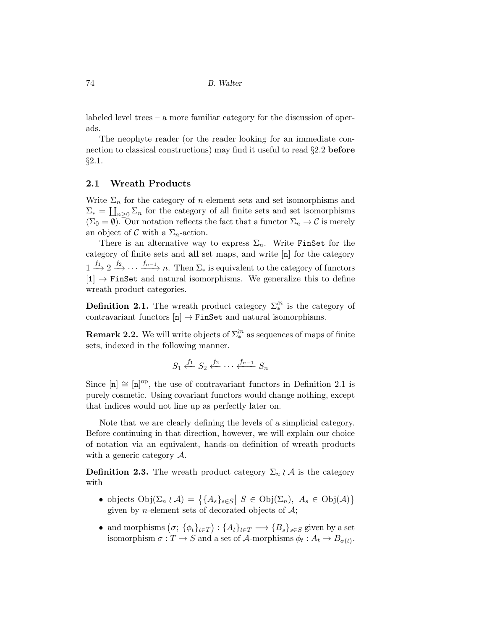labeled level trees – a more familiar category for the discussion of operads.

The neophyte reader (or the reader looking for an immediate connection to classical constructions) may find it useful to read §2.2 before §2.1.

### 2.1 Wreath Products

Write  $\Sigma_n$  for the category of *n*-element sets and set isomorphisms and  $\Sigma_* = \coprod_{n\geq 0} \Sigma_n$  for the category of all finite sets and set isomorphisms  $(\Sigma_0 = \emptyset)$ . Our notation reflects the fact that a functor  $\Sigma_n \to \mathcal{C}$  is merely an object of  $\mathcal C$  with a  $\Sigma_n$ -action.

There is an alternative way to express  $\Sigma_n$ . Write FinSet for the category of finite sets and all set maps, and write [n] for the category  $1 \stackrel{f_1}{\longrightarrow} 2 \stackrel{f_2}{\longrightarrow} \cdots \stackrel{f_{n-1}}{\longrightarrow} n$ . Then  $\Sigma_*$  is equivalent to the category of functors  $[1] \rightarrow$  FinSet and natural isomorphisms. We generalize this to define wreath product categories.

**Definition 2.1.** The wreath product category  $\Sigma_*^{n}$  is the category of contravariant functors  $[n] \rightarrow \text{FinSet}$  and natural isomorphisms.

**Remark 2.2.** We will write objects of  $\Sigma^{in}_*$  as sequences of maps of finite sets, indexed in the following manner.

$$
S_1 \xleftarrow{f_1} S_2 \xleftarrow{f_2} \cdots \xleftarrow{f_{n-1}} S_n
$$

Since  $[n] \cong [n]^{op}$ , the use of contravariant functors in Definition 2.1 is purely cosmetic. Using covariant functors would change nothing, except that indices would not line up as perfectly later on.

Note that we are clearly defining the levels of a simplicial category. Before continuing in that direction, however, we will explain our choice of notation via an equivalent, hands-on definition of wreath products with a generic category A.

**Definition 2.3.** The wreath product category  $\Sigma_n \wr A$  is the category with

- objects  $Obj(\Sigma_n \wr \mathcal{A}) = \{ \{A_s\}_{s \in S} | S \in Obj(\Sigma_n), A_s \in Obj(\mathcal{A}) \}$ given by *n*-element sets of decorated objects of  $A$ ;
- and morphisms  $(\sigma; \{\phi_t\}_{t\in T}) : \{A_t\}_{t\in T} \longrightarrow \{B_s\}_{s\in S}$  given by a set isomorphism  $\sigma: T \to S$  and a set of A-morphisms  $\phi_t: A_t \to B_{\sigma(t)}$ .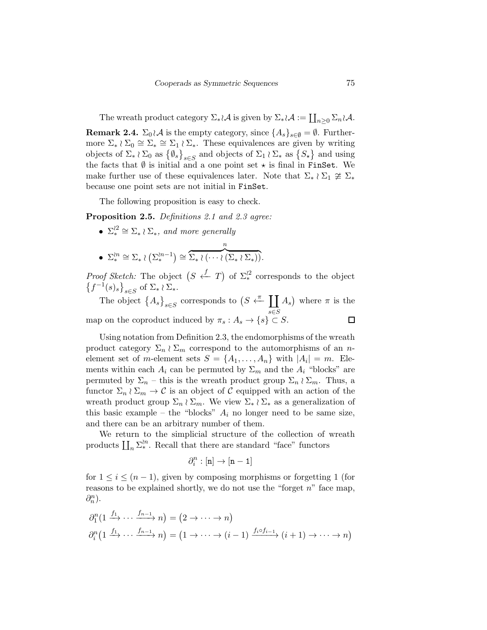The wreath product category  $\Sigma_* \wr \mathcal{A}$  is given by  $\Sigma_* \wr \mathcal{A} := \coprod_{n \geq 0} \Sigma_n \wr \mathcal{A}$ .

**Remark 2.4.**  $\Sigma_0 \wr A$  is the empty category, since  $\{A_s\}_{s\in\emptyset} = \emptyset$ . Furthermore  $\Sigma_* \wr \Sigma_0 \cong \Sigma_* \cong \Sigma_1 \wr \Sigma_*$ . These equivalences are given by writing objects of  $\Sigma_* \wr \Sigma_0$  as  $\{\emptyset_s\}_{s \in S}$  and objects of  $\Sigma_1 \wr \Sigma_*$  as  $\{S_*\}$  and using the facts that  $\emptyset$  is initial and a one point set  $\star$  is final in FinSet. We make further use of these equivalences later. Note that  $\Sigma_* \wr \Sigma_1 \ncong \Sigma_*$ because one point sets are not initial in FinSet.

The following proposition is easy to check.

Proposition 2.5. *Definitions 2.1 and 2.3 agree:*

- $\Sigma_*^{22} \cong \Sigma_* \wr \Sigma_*$ , and more generally
- $\Sigma^{n}_{*} \cong \Sigma_{*} \wr (\Sigma^{n-1}_{*}) \cong$ n  $\overline{\Sigma_{*} \wr (\cdots \wr (\Sigma_{*} \wr \Sigma_{*}))}.$

*Proof Sketch:* The object  $(S \stackrel{f}{\leftarrow} T)$  of  $\Sigma_*^{22}$  corresponds to the object  $\left\{f^{-1}(s)_{s}\right\}_{s\in S}$  of  $\Sigma_{*} \wr \Sigma_{*}$ .

The object  $\{A_s\}_{s\in S}$  corresponds to  $(S \stackrel{\pi}{\leftarrow} \coprod A_s)$  where  $\pi$  is the s∈S  $\Box$ map on the coproduct induced by  $\pi_s : A_s \to \{s\} \subset S$ .

Using notation from Definition 2.3, the endomorphisms of the wreath product category  $\Sigma_n \wr \Sigma_m$  correspond to the automorphisms of an *n*element set of m-element sets  $S = \{A_1, \ldots, A_n\}$  with  $|A_i| = m$ . Elements within each  $A_i$  can be permuted by  $\Sigma_m$  and the  $A_i$  "blocks" are permuted by  $\Sigma_n$  – this is the wreath product group  $\Sigma_n \wr \Sigma_m$ . Thus, a functor  $\Sigma_n \wr \Sigma_m \to \mathcal{C}$  is an object of  $\mathcal C$  equipped with an action of the wreath product group  $\Sigma_n \wr \Sigma_m$ . We view  $\Sigma_* \wr \Sigma_*$  as a generalization of this basic example – the "blocks"  $A_i$  no longer need to be same size, and there can be an arbitrary number of them.

We return to the simplicial structure of the collection of wreath products  $\prod_n \sum_{\ast}^{\infty}$ . Recall that there are standard "face" functors

$$
\partial^n_i:[\mathbf{n}]\to[\mathbf{n-1}]
$$

for  $1 \leq i \leq (n-1)$ , given by composing morphisms or forgetting 1 (for reasons to be explained shortly, we do not use the "forget  $n$ " face map,  $\partial_n^n$ ).

$$
\partial_1^n \left(1 \xrightarrow{f_1} \cdots \xrightarrow{f_{n-1}} n\right) = \left(2 \to \cdots \to n\right)
$$
  

$$
\partial_i^n \left(1 \xrightarrow{f_1} \cdots \xrightarrow{f_{n-1}} n\right) = \left(1 \to \cdots \to (i-1) \xrightarrow{f_i \circ f_{i-1}} (i+1) \to \cdots \to n\right)
$$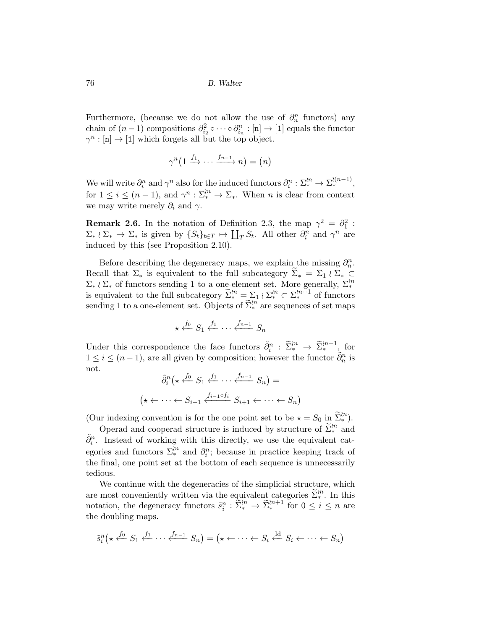Furthermore, (because we do not allow the use of  $\partial_n^n$  functors) any chain of  $(n-1)$  compositions  $\partial_{i_2}^2 \circ \cdots \circ \partial_{i_n}^n : [n] \to [1]$  equals the functor  $\gamma^n : [n] \to [1]$  which forgets all but the top object.

$$
\gamma^{n} \left(1 \xrightarrow{f_1} \cdots \xrightarrow{f_{n-1}} n \right) = (n)
$$

We will write  $\partial_i^n$  and  $\gamma^n$  also for the induced functors  $\partial_i^n : \Sigma_{\ast}^{\wr n} \to \Sigma_{\ast}^{\wr (n-1)}$ , for  $1 \leq i \leq (n-1)$ , and  $\gamma^n : \Sigma_*^{n} \to \Sigma_*$ . When n is clear from context we may write merely  $\partial_i$  and  $\gamma$ .

**Remark 2.6.** In the notation of Definition 2.3, the map  $\gamma^2 = \partial_1^2$ :  $\Sigma_* \wr \Sigma_* \to \Sigma_*$  is given by  $\{S_t\}_{t \in T} \mapsto \coprod_T S_t$ . All other  $\partial_i^n$  and  $\gamma^n$  are induced by this (see Proposition 2.10).

Before describing the degeneracy maps, we explain the missing  $\partial_n^n$ . Recall that  $\Sigma_*$  is equivalent to the full subcategory  $\Sigma_* = \Sigma_1 \wr \Sigma_* \subset$  $\Sigma_* \wr \Sigma_*$  of functors sending 1 to a one-element set. More generally,  $\Sigma_*^{\wr n}$ is equivalent to the full subcategory  $\tilde{\Sigma}_{*}^{in} = \sum_{n=1}^{\infty} \sum_{k=1}^{\infty} \Sigma_{*}^{in} \subset \Sigma_{*}^{in+1}$  of functors sending 1 to a one-element set. Objects of  $\tilde{\Sigma}_{*}^{n}$  are sequences of set maps

$$
\star \stackrel{f_0}{\longleftarrow} S_1 \stackrel{f_1}{\longleftarrow} \cdots \stackrel{f_{n-1}}{\longleftarrow} S_n
$$

Under this correspondence the face functors  $\tilde{\partial}_i^n : \tilde{\Sigma}_*^{\wr n} \to \tilde{\Sigma}_*^{\wr n-1}$ , for  $1 \leq i \leq (n-1)$ , are all given by composition; however the functor  $\tilde{\partial}_n^n$  is not.

$$
\tilde{\partial}_i^n \left( \star \xleftarrow{f_0} S_1 \xleftarrow{f_1} \cdots \xleftarrow{f_{n-1}} S_n \right) =
$$
\n
$$
\left( \star \leftarrow \cdots \leftarrow S_{i-1} \xleftarrow{f_{i-1} \circ f_i} S_{i+1} \leftarrow \cdots \leftarrow S_n \right)
$$

(Our indexing convention is for the one point set to be  $\star = S_0$  in  $\tilde{\Sigma}_{*}^{n}$ ).

Operad and cooperad structure is induced by structure of  $\tilde{\Sigma}_{*}^{\iota n}$  and  $\tilde{\partial}_i^n$ . Instead of working with this directly, we use the equivalent categories and functors  $\Sigma_*^{in}$  and  $\partial_i^n$ ; because in practice keeping track of the final, one point set at the bottom of each sequence is unnecessarily tedious.

We continue with the degeneracies of the simplicial structure, which are most conveniently written via the equivalent categories  $\widetilde{\Sigma}_{*}^{n}$ . In this notation, the degeneracy functors  $\tilde{s}_i^n : \tilde{\Sigma}_*^{n} \to \tilde{\Sigma}_*^{n+1}$  for  $0 \le i \le n$  are the doubling maps.

$$
\tilde{s}_i^n \left( \star \stackrel{f_0}{\leftarrow} S_1 \stackrel{f_1}{\leftarrow} \cdots \stackrel{f_{n-1}}{\leftarrow} S_n \right) = \left( \star \leftarrow \cdots \leftarrow S_i \stackrel{\text{Id}}{\leftarrow} S_i \leftarrow \cdots \leftarrow S_n \right)
$$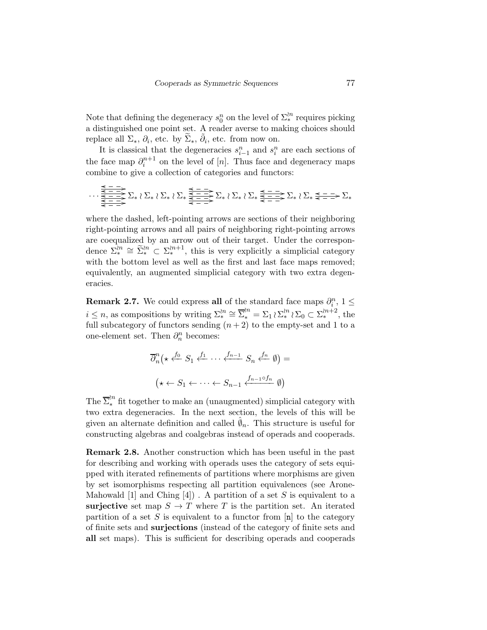Note that defining the degeneracy  $s_0^n$  on the level of  $\Sigma^{l n}_*$  requires picking a distinguished one point set. A reader averse to making choices should replace all  $\Sigma_*, \partial_i$ , etc. by  $\widetilde{\Sigma}_*, \widetilde{\partial}_i$ , etc. from now on.

It is classical that the degeneracies  $s_{i-1}^n$  and  $s_i^n$  are each sections of the face map  $\partial_i^{n+1}$  on the level of [n]. Thus face and degeneracy maps combine to give a collection of categories and functors:

$$
\cdots \xrightarrow[\frac{\leq - - - \geq}_{\leq - - - \geq}_{\leq - - \geq}_{\leq - - \geq}_{\leq - - \geq}_{\leq - - \geq}_{\leq - - \geq}_{\leq - - \geq}_{\leq - - \geq} \Sigma_* \wr \Sigma_* \xleftarrow[\frac{\leq - - \geq}_{\leq - - \geq}_{\leq - - \geq}_{\leq - - \geq}_{\leq - - \geq}_{\leq - - \geq}_{\leq - - \geq} \Sigma_* \wr \Sigma_* \xleftarrow[\frac{\leq - - \geq}_{\leq - - \geq}_{\leq - - \geq}_{\leq - - \geq}_{\leq - - \geq} \Sigma_* \right]
$$

where the dashed, left-pointing arrows are sections of their neighboring right-pointing arrows and all pairs of neighboring right-pointing arrows are coequalized by an arrow out of their target. Under the correspondence  $\sum_{k=1}^{\infty} \hat{\Sigma}_{k}^{(n)} \subset \sum_{k=1}^{\infty}$ , this is very explicitly a simplicial category with the bottom level as well as the first and last face maps removed; equivalently, an augmented simplicial category with two extra degeneracies.

**Remark 2.7.** We could express all of the standard face maps  $\partial_i^n$ ,  $1 \leq$  $i \leq n$ , as compositions by writing  $\Sigma_*^{n} \cong \overline{\Sigma}_*^{n} = \Sigma_1 \wr \Sigma_*^{n} \wr \Sigma_0 \subset \Sigma_*^{n+2}$ , the full subcategory of functors sending  $(n+2)$  to the empty-set and 1 to a one-element set. Then  $\partial_n^n$  becomes:

$$
\overline{\partial}_n^n \left( \star \xleftarrow{f_0} S_1 \xleftarrow{f_1} \cdots \xleftarrow{f_{n-1}} S_n \xleftarrow{f_n} \emptyset \right) =
$$

$$
\left( \star \xleftarrow{S_1} \xleftarrow{f_1} \cdots \xleftarrow{S_{n-1}} \xleftarrow{f_{n-1} \circ f_n} \emptyset \right)
$$

The  $\overline{\Sigma}^{in}_*$  fit together to make an (unaugmented) simplicial category with two extra degeneracies. In the next section, the levels of this will be given an alternate definition and called  $\hat{\varnothing}_n$ . This structure is useful for constructing algebras and coalgebras instead of operads and cooperads.

Remark 2.8. Another construction which has been useful in the past for describing and working with operads uses the category of sets equipped with iterated refinements of partitions where morphisms are given by set isomorphisms respecting all partition equivalences (see Arone-Mahowald [1] and Ching  $[4]$ . A partition of a set S is equivalent to a surjective set map  $S \to T$  where T is the partition set. An iterated partition of a set S is equivalent to a functor from  $[n]$  to the category of finite sets and surjections (instead of the category of finite sets and all set maps). This is sufficient for describing operads and cooperads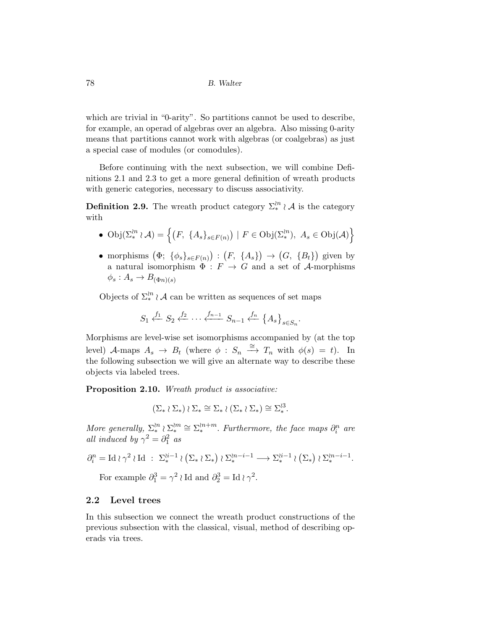which are trivial in "0-arity". So partitions cannot be used to describe, for example, an operad of algebras over an algebra. Also missing 0-arity means that partitions cannot work with algebras (or coalgebras) as just a special case of modules (or comodules).

Before continuing with the next subsection, we will combine Definitions 2.1 and 2.3 to get a more general definition of wreath products with generic categories, necessary to discuss associativity.

**Definition 2.9.** The wreath product category  $\Sigma_*^{n} \wr A$  is the category with

• 
$$
\text{Obj}(\Sigma^{\wr n}_* \wr \mathcal{A}) = \left\{ (F, \{A_s\}_{s \in F(n)}) \mid F \in \text{Obj}(\Sigma^{\wr n}_*), A_s \in \text{Obj}(\mathcal{A}) \right\}
$$

• morphisms  $(\Phi; {\phi_s}_{s\in F(n)}) : (F, {\{A_s\}}) \to (G, {\{B_t\}})$  given by a natural isomorphism  $\Phi : F \to G$  and a set of A-morphisms  $\phi_s: A_s \to B_{(\Phi n)(s)}$ 

Objects of  $\Sigma_*^{n} \wr A$  can be written as sequences of set maps

$$
S_1 \xleftarrow{f_1} S_2 \xleftarrow{f_2} \cdots \xleftarrow{f_{n-1}} S_{n-1} \xleftarrow{f_n} \{A_s\}_{s \in S_n}.
$$

Morphisms are level-wise set isomorphisms accompanied by (at the top level) A-maps  $A_s \to B_t$  (where  $\phi : S_n \stackrel{\cong}{\longrightarrow} T_n$  with  $\phi(s) = t$ ). In the following subsection we will give an alternate way to describe these objects via labeled trees.

Proposition 2.10. *Wreath product is associative:*

$$
(\Sigma_* \wr \Sigma_*) \wr \Sigma_* \cong \Sigma_* \wr (\Sigma_* \wr \Sigma_*) \cong \Sigma_*^{l3}.
$$

*More generally,*  $\Sigma^{\{n\}}_* \geq \Sigma^{m+m}_*$ . *Furthermore, the face maps*  $\partial_i^n$  are *all induced by*  $\gamma^2 = \partial_1^2$  *as* 

$$
\partial_i^n = \mathrm{Id} \wr \gamma^2 \wr \mathrm{Id} \; : \; \Sigma^{i-1}_* \wr (\Sigma_* \wr \Sigma_*) \wr \Sigma^{i-1}_* \longrightarrow \Sigma^{i-1}_* \wr (\Sigma_*) \wr \Sigma^{i-1}_*.
$$

For example  $\partial_1^3 = \gamma^2 \wr \text{Id}$  and  $\partial_2^3 = \text{Id} \wr \gamma^2$ .

### 2.2 Level trees

In this subsection we connect the wreath product constructions of the previous subsection with the classical, visual, method of describing operads via trees.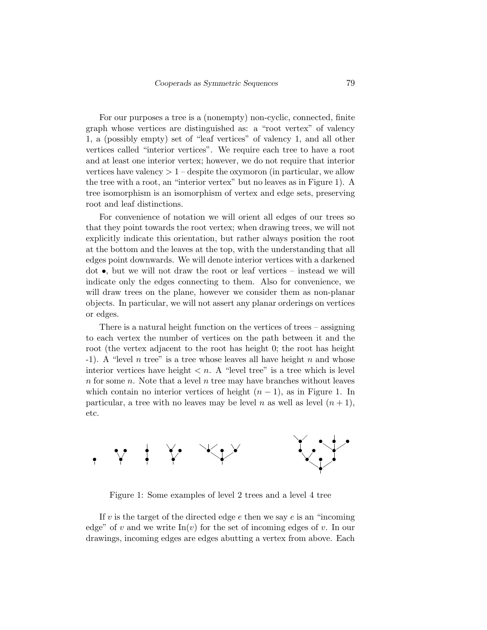For our purposes a tree is a (nonempty) non-cyclic, connected, finite graph whose vertices are distinguished as: a "root vertex" of valency 1, a (possibly empty) set of "leaf vertices" of valency 1, and all other vertices called "interior vertices". We require each tree to have a root and at least one interior vertex; however, we do not require that interior vertices have valency  $> 1$  – despite the oxymoron (in particular, we allow the tree with a root, an "interior vertex" but no leaves as in Figure 1). A tree isomorphism is an isomorphism of vertex and edge sets, preserving root and leaf distinctions.

For convenience of notation we will orient all edges of our trees so that they point towards the root vertex; when drawing trees, we will not explicitly indicate this orientation, but rather always position the root at the bottom and the leaves at the top, with the understanding that all edges point downwards. We will denote interior vertices with a darkened dot  $\bullet$ , but we will not draw the root or leaf vertices – instead we will indicate only the edges connecting to them. Also for convenience, we will draw trees on the plane, however we consider them as non-planar objects. In particular, we will not assert any planar orderings on vertices or edges.

There is a natural height function on the vertices of trees – assigning to each vertex the number of vertices on the path between it and the root (the vertex adjacent to the root has height 0; the root has height -1). A "level n tree" is a tree whose leaves all have height n and whose interior vertices have height  $\langle n, \Lambda \rangle$  "level tree" is a tree which is level  $n$  for some  $n$ . Note that a level  $n$  tree may have branches without leaves which contain no interior vertices of height  $(n-1)$ , as in Figure 1. In particular, a tree with no leaves may be level n as well as level  $(n + 1)$ , etc.



Figure 1: Some examples of level 2 trees and a level 4 tree

If v is the target of the directed edge  $e$  then we say  $e$  is an "incoming" edge" of v and we write  $\text{In}(v)$  for the set of incoming edges of v. In our drawings, incoming edges are edges abutting a vertex from above. Each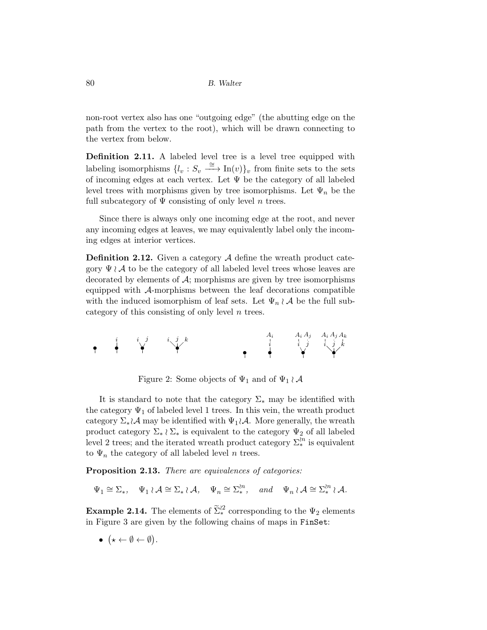non-root vertex also has one "outgoing edge" (the abutting edge on the path from the vertex to the root), which will be drawn connecting to the vertex from below.

Definition 2.11. A labeled level tree is a level tree equipped with labeling isomorphisms  $\{l_v : S_v \stackrel{\cong}{\longrightarrow} \text{In}(v)\}_v$  from finite sets to the sets of incoming edges at each vertex. Let  $\Psi$  be the category of all labeled level trees with morphisms given by tree isomorphisms. Let  $\Psi_n$  be the full subcategory of  $\Psi$  consisting of only level n trees.

Since there is always only one incoming edge at the root, and never any incoming edges at leaves, we may equivalently label only the incoming edges at interior vertices.

**Definition 2.12.** Given a category  $A$  define the wreath product category  $\Psi \wr A$  to be the category of all labeled level trees whose leaves are decorated by elements of  $A$ ; morphisms are given by tree isomorphisms equipped with A-morphisms between the leaf decorations compatible with the induced isomorphism of leaf sets. Let  $\Psi_n \wr A$  be the full subcategory of this consisting of only level  $n$  trees.



Figure 2: Some objects of  $\Psi_1$  and of  $\Psi_1 \wr A$ 

It is standard to note that the category  $\Sigma_*$  may be identified with the category  $\Psi_1$  of labeled level 1 trees. In this vein, the wreath product category  $\Sigma_*\wr\mathcal{A}$  may be identified with  $\Psi_1\wr\mathcal{A}$ . More generally, the wreath product category  $\Sigma_* \wr \Sigma_*$  is equivalent to the category  $\Psi_2$  of all labeled level 2 trees; and the iterated wreath product category  $\Sigma_*^{n}$  is equivalent to  $\Psi_n$  the category of all labeled level n trees.

Proposition 2.13. *There are equivalences of categories:*

 $\Psi_1 \cong \Sigma_*, \quad \Psi_1 \wr \mathcal{A} \cong \Sigma_* \wr \mathcal{A}, \quad \Psi_n \cong \Sigma_*^{in}, \quad \text{and} \quad \Psi_n \wr \mathcal{A} \cong \Sigma_*^{in} \wr \mathcal{A}.$ 

**Example 2.14.** The elements of  $\tilde{\Sigma}_{*}^{22}$  corresponding to the  $\Psi_2$  elements in Figure 3 are given by the following chains of maps in FinSet:

 $\bullet \ (\star \leftarrow \emptyset \leftarrow \emptyset).$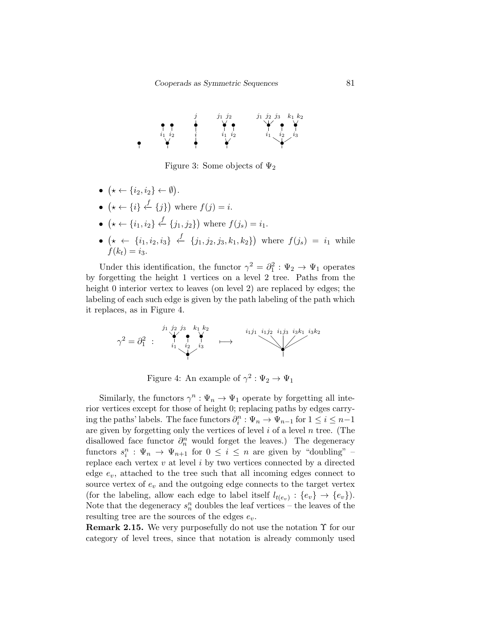

Figure 3: Some objects of  $\Psi_2$ 

- $(\star \leftarrow \{i_2, i_2\} \leftarrow \emptyset).$
- $\{\star \leftarrow \{i\} \stackrel{f}{\leftarrow} \{j\}$  where  $f(j) = i$ .
- $({\star} \leftarrow \{i_1, i_2\} \stackrel{f}{\leftarrow} \{j_1, j_2\})$  where  $f(j_s) = i_1$ .
- $({\star} \leftarrow \{i_1, i_2, i_3\} \stackrel{f}{\leftarrow} \{j_1, j_2, j_3, k_1, k_2\})$  where  $f(j_s) = i_1$  while  $f(k_t) = i_3$ .

Under this identification, the functor  $\gamma^2 = \partial_1^2 : \Psi_2 \to \Psi_1$  operates by forgetting the height 1 vertices on a level 2 tree. Paths from the height 0 interior vertex to leaves (on level 2) are replaced by edges; the labeling of each such edge is given by the path labeling of the path which it replaces, as in Figure 4.

$$
\gamma^2 = \partial_1^2 \begin{array}{ccc} & \begin{array}{c} \n j_1 \ j_2 \ j_3 \ j_4 \end{array} \\ \n \downarrow \\ \n \downarrow \\ \n \downarrow \n \end{array} \quad \downarrow \\ \n \downarrow \n \end{array} \quad \longmapsto \quad \qquad \qquad \begin{array}{c} \n \downarrow \\ \n \downarrow \\ \n \downarrow \n \end{array}
$$

Figure 4: An example of  $\gamma^2 : \Psi_2 \to \Psi_1$ 

Similarly, the functors  $\gamma^n : \Psi_n \to \Psi_1$  operate by forgetting all interior vertices except for those of height 0; replacing paths by edges carrying the paths' labels. The face functors  $\partial_i^n : \Psi_n \to \Psi_{n-1}$  for  $1 \leq i \leq n-1$ are given by forgetting only the vertices of level  $i$  of a level  $n$  tree. (The disallowed face functor  $\partial_n^n$  would forget the leaves.) The degeneracy functors  $s_i^n : \Psi_n \to \Psi_{n+1}$  for  $0 \leq i \leq n$  are given by "doubling" – replace each vertex  $v$  at level  $i$  by two vertices connected by a directed edge  $e_v$ , attached to the tree such that all incoming edges connect to source vertex of  $e_v$  and the outgoing edge connects to the target vertex (for the labeling, allow each edge to label itself  $l_{t(e_v)}: \{e_v\} \to \{e_v\}$ ). Note that the degeneracy  $s_n^n$  doubles the leaf vertices – the leaves of the resulting tree are the sources of the edges  $e_v$ .

Remark 2.15. We very purposefully do not use the notation Υ for our category of level trees, since that notation is already commonly used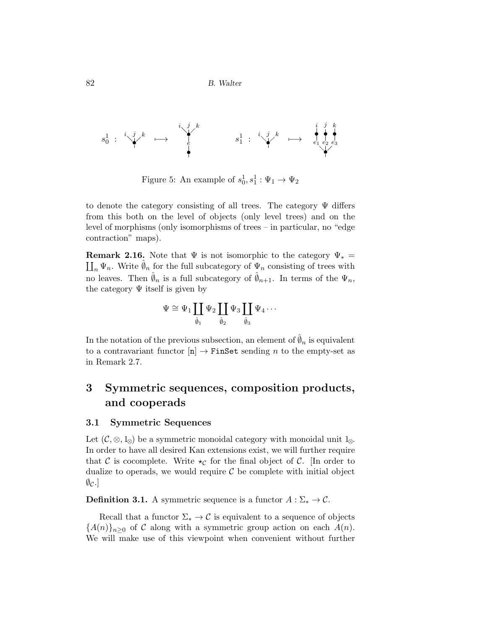s 1 0 : i j k • 7−→ i j k • e • s 1 1 : i j k • 7−→ i j k • • • e1 e2 e3 •

Figure 5: An example of  $s_0^1, s_1^1 : \Psi_1 \to \Psi_2$ 

to denote the category consisting of all trees. The category  $\Psi$  differs from this both on the level of objects (only level trees) and on the level of morphisms (only isomorphisms of trees – in particular, no "edge contraction" maps).

**Remark 2.16.** Note that  $\Psi$  is not isomorphic to the category  $\Psi_* = \prod_n \Psi_n$ . Write  $\hat{\theta}_n$  for the full subcategory of  $\Psi_n$  consisting of trees with no leaves. Then  $\hat{\emptyset}_n$  is a full subcategory of  $\hat{\emptyset}_{n+1}$ . In terms of the  $\Psi_n$ , the category  $\Psi$  itself is given by

$$
\Psi\cong\Psi_1\coprod_{\hat{\theta}_1}\Psi_2\coprod_{\hat{\theta}_2}\Psi_3\coprod_{\hat{\theta}_3}\Psi_4\cdots
$$

In the notation of the previous subsection, an element of  $\hat{\varnothing}_n$  is equivalent to a contravariant functor  $[n] \to$  FinSet sending n to the empty-set as in Remark 2.7.

# 3 Symmetric sequences, composition products, and cooperads

#### 3.1 Symmetric Sequences

Let  $(C, \otimes, 1_{\otimes})$  be a symmetric monoidal category with monoidal unit  $1_{\otimes}$ . In order to have all desired Kan extensions exist, we will further require that C is cocomplete. Write  $\star_{\mathcal{C}}$  for the final object of C. [In order to dualize to operads, we would require  $\mathcal C$  be complete with initial object  $\emptyset_{\mathcal{C}}$ .

**Definition 3.1.** A symmetric sequence is a functor  $A : \Sigma_* \to \mathcal{C}$ .

Recall that a functor  $\Sigma_* \to \mathcal{C}$  is equivalent to a sequence of objects  ${A(n)}_{n>0}$  of C along with a symmetric group action on each  $A(n)$ . We will make use of this viewpoint when convenient without further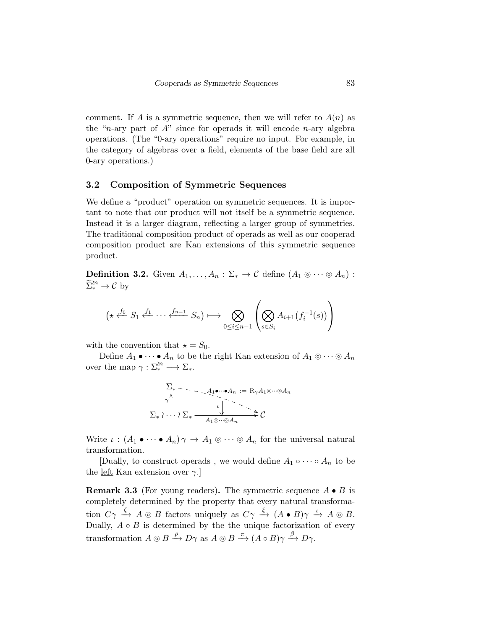comment. If A is a symmetric sequence, then we will refer to  $A(n)$  as the "*n*-ary part of  $A$ " since for operads it will encode *n*-ary algebra operations. (The "0-ary operations" require no input. For example, in the category of algebras over a field, elements of the base field are all 0-ary operations.)

#### 3.2 Composition of Symmetric Sequences

We define a "product" operation on symmetric sequences. It is important to note that our product will not itself be a symmetric sequence. Instead it is a larger diagram, reflecting a larger group of symmetries. The traditional composition product of operads as well as our cooperad composition product are Kan extensions of this symmetric sequence product.

**Definition 3.2.** Given  $A_1, \ldots, A_n : \Sigma_* \to \mathcal{C}$  define  $(A_1 \otimes \cdots \otimes A_n)$ :  $\widetilde{\Sigma}_{*}^{\wr n} \to \mathcal{C}$  by

$$
(\star \xleftarrow{f_0} S_1 \xleftarrow{f_1} \cdots \xleftarrow{f_{n-1}} S_n) \longmapsto \bigotimes_{0 \leq i \leq n-1} \left( \bigotimes_{s \in S_i} A_{i+1}(f_i^{-1}(s)) \right) \right)
$$

with the convention that  $\star = S_0$ .

Define  $A_1 \bullet \cdots \bullet A_n$  to be the right Kan extension of  $A_1 \circ \cdots \circ A_n$ over the map  $\gamma : \Sigma^{n}_{*} \longrightarrow \Sigma_{*}$ .

$$
\Sigma_* \sim \sim 1 \quad \text{and} \quad A_n := R_{\gamma} A_1 \otimes \cdots \otimes A_n
$$
\n
$$
\gamma \Big\uparrow \qquad \qquad \downarrow \qquad \qquad \downarrow \qquad \qquad \searrow
$$
\n
$$
\Sigma_* \wr \cdots \wr \Sigma_* \xrightarrow{\qquad \qquad A_1 \otimes \cdots \otimes A_n} \mathcal{C}
$$

Write  $\iota : (A_1 \bullet \cdots \bullet A_n) \gamma \to A_1 \otimes \cdots \otimes A_n$  for the universal natural transformation.

[Dually, to construct operads, we would define  $A_1 \circ \cdots \circ A_n$  to be the <u>left</u> Kan extension over  $\gamma$ .

**Remark 3.3** (For young readers). The symmetric sequence  $A \bullet B$  is completely determined by the property that every natural transformation  $C\gamma \stackrel{\zeta}{\rightarrow} A \otimes B$  factors uniquely as  $C\gamma \stackrel{\xi}{\rightarrow} (A \bullet B)\gamma \stackrel{\iota}{\rightarrow} A \otimes B$ . Dually,  $A \circ B$  is determined by the the unique factorization of every transformation  $A \otimes B \xrightarrow{\rho} D\gamma$  as  $A \otimes B \xrightarrow{\pi} (A \circ B)\gamma \xrightarrow{\beta} D\gamma$ .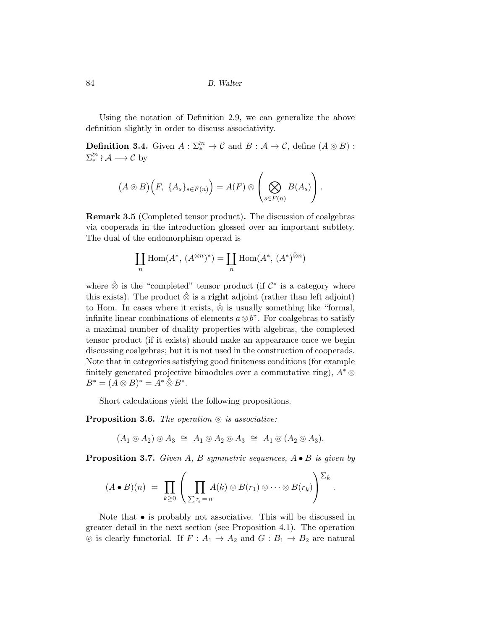Using the notation of Definition 2.9, we can generalize the above definition slightly in order to discuss associativity.

**Definition 3.4.** Given  $A: \Sigma^{2n}_* \to \mathcal{C}$  and  $B: \mathcal{A} \to \mathcal{C}$ , define  $(A \circledcirc B):$  $\Sigma^{n}_{*} \wr A \longrightarrow C$  by

$$
(A \odot B)\Big(F, \ \{A_s\}_{s \in F(n)}\Big) = A(F) \otimes \left(\bigotimes_{s \in F(n)} B(A_s)\right).
$$

Remark 3.5 (Completed tensor product). The discussion of coalgebras via cooperads in the introduction glossed over an important subtlety. The dual of the endomorphism operad is

$$
\coprod_{n} \text{Hom}(A^*, (A^{\otimes n})^*) = \coprod_{n} \text{Hom}(A^*, (A^*)^{\hat{\otimes} n})
$$

where  $\hat{\otimes}$  is the "completed" tensor product (if  $\mathcal{C}^*$  is a category where this exists). The product  $\hat{\otimes}$  is a **right** adjoint (rather than left adjoint) to Hom. In cases where it exists,  $\hat{\otimes}$  is usually something like "formal, infinite linear combinations of elements  $a \otimes b$ ". For coalgebras to satisfy a maximal number of duality properties with algebras, the completed tensor product (if it exists) should make an appearance once we begin discussing coalgebras; but it is not used in the construction of cooperads. Note that in categories satisfying good finiteness conditions (for example finitely generated projective bimodules over a commutative ring),  $A^* \otimes$  $B^* = (A \otimes B)^* = A^* \hat{\otimes} B^*$ .

Short calculations yield the following propositions.

Proposition 3.6. *The operation* ⊚ *is associative:*

 $(A_1 \circledcirc A_2) \circledcirc A_3 \cong A_1 \circledcirc A_2 \circledcirc A_3 \cong A_1 \circledcirc (A_2 \circledcirc A_3).$ 

Proposition 3.7. *Given* A*,* B *symmetric sequences,* A • B *is given by*

$$
(A \bullet B)(n) = \prod_{k \geq 0} \left( \prod_{\sum r_i = n} A(k) \otimes B(r_1) \otimes \cdots \otimes B(r_k) \right)^{\sum_k}.
$$

Note that  $\bullet$  is probably not associative. This will be discussed in greater detail in the next section (see Proposition 4.1). The operation ⊚ is clearly functorial. If  $F : A_1 \rightarrow A_2$  and  $G : B_1 \rightarrow B_2$  are natural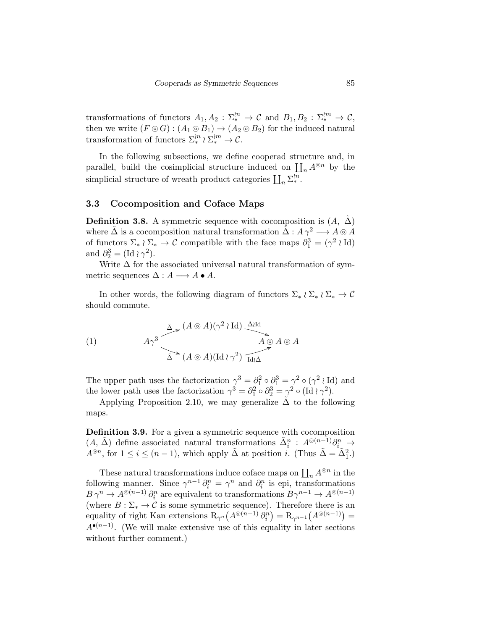transformations of functors  $A_1, A_2 : \Sigma_*^{n} \to \mathcal{C}$  and  $B_1, B_2 : \Sigma_*^{n} \to \mathcal{C}$ , then we write  $(F \circledcirc G) : (A_1 \circledcirc B_1) \to (A_2 \circledcirc B_2)$  for the induced natural transformation of functors  $\Sigma_*^{n} \wr \Sigma_*^{n} \to \mathcal{C}$ .

In the following subsections, we define cooperad structure and, in parallel, build the cosimplicial structure induced on  $\prod_n A^{\otimes n}$  by the simplicial structure of wreath product categories  $\prod_n \sum_{\alpha}^n$ .

### 3.3 Cocomposition and Coface Maps

**Definition 3.8.** A symmetric sequence with cocomposition is  $(A, \Delta)$ where  $\tilde{\Delta}$  is a cocomposition natural transformation  $\tilde{\Delta}: A \gamma^2 \longrightarrow A \otimes A$ of functors  $\Sigma_* \wr \Sigma_* \to \mathcal{C}$  compatible with the face maps  $\partial_1^3 = (\gamma^2 \wr \mathrm{Id})$ and  $\partial_2^3 = (\mathrm{Id} \wr \gamma^2)$ .

Write  $\Delta$  for the associated universal natural transformation of symmetric sequences  $\Delta: A \longrightarrow A \bullet A$ .

In other words, the following diagram of functors  $\Sigma_* \wr \Sigma_* \to \mathcal{C}$ should commute.

(1)  
\n
$$
A\gamma^3
$$
\n $\Delta \rightarrow (A \otimes A)(\gamma^2 \wr \text{Id}) \stackrel{\tilde{\Delta} \text{Id}}{\longrightarrow} A \otimes A \otimes A$ \n $\Delta \rightarrow (A \otimes A)(\text{Id} \wr \gamma^2) \stackrel{\tilde{\Delta} \text{Id}}{\longrightarrow} A \otimes A$ 

The upper path uses the factorization  $\gamma^3 = \partial_1^2 \circ \partial_1^3 = \gamma^2 \circ (\gamma^2 \wr \mathrm{Id})$  and the lower path uses the factorization  $\gamma^3 = \partial_1^2 \circ \partial_2^3 = \gamma^2 \circ (\text{Id} \wr \gamma^2)$ .

Applying Proposition 2.10, we may generalize  $\tilde{\Delta}$  to the following maps.

Definition 3.9. For a given a symmetric sequence with cocomposition  $(A, \tilde{\Delta})$  define associated natural transformations  $\tilde{\Delta}_i^n : A^{\circ (n-1)} \partial_{i}^n \to$  $A^{\odot n}$ , for  $1 \leq i \leq (n-1)$ , which apply  $\tilde{\Delta}$  at position *i*. (Thus  $\tilde{\Delta} = \tilde{\Delta}_1^2$ .)

These natural transformations induce coface maps on  $\coprod_n A^{\circledcirc n}$  in the following manner. Since  $\gamma^{n-1}\partial_i^n = \gamma^n$  and  $\partial_i^n$  is epi, transformations  $B \gamma^n \to A^{\odot (n-1)} \partial_i^n$  are equivalent to transformations  $B \gamma^{n-1} \to A^{\odot (n-1)}$ (where  $B: \Sigma_* \to \mathcal{C}$  is some symmetric sequence). Therefore there is an equality of right Kan extensions  $R_{\gamma^n}(A^{\otimes (n-1)} \partial_i^n) = R_{\gamma^{n-1}}(A^{\otimes (n-1)}) =$  $A^{\bullet(n-1)}$ . (We will make extensive use of this equality in later sections without further comment.)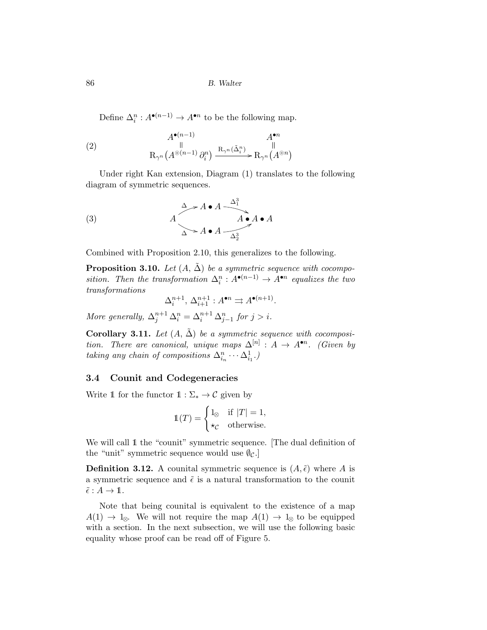Define  $\Delta_i^n : A^{\bullet(n-1)} \to A^{\bullet n}$  to be the following map.

(2) 
$$
A^{\bullet(n-1)} \qquad A^{\bullet n}
$$
  
\n $\parallel$   
\n $\mathcal{R}_{\gamma^n}(A^{\odot(n-1)} \partial_i^n) \xrightarrow{\mathcal{R}_{\gamma^n}(\tilde{\Delta}_i^n)} \mathcal{R}_{\gamma^n}(A^{\odot n})$ 

Under right Kan extension, Diagram (1) translates to the following diagram of symmetric sequences.

(3) 
$$
A \rightarrow A \bullet A \xrightarrow{A^3} A \bullet A
$$
  
 $A \rightarrow A \bullet A \xrightarrow{A^3} A \bullet A$ 

Combined with Proposition 2.10, this generalizes to the following.

**Proposition 3.10.** *Let*  $(A, \tilde{\Delta})$  *be a symmetric sequence with cocomposition.* Then the transformation  $\Delta_i^n : A^{\bullet(n-1)} \to A^{\bullet n}$  equalizes the two *transformations*

$$
\Delta_i^{n+1}, \, \Delta_{i+1}^{n+1} : A^{\bullet n} \Rightarrow A^{\bullet(n+1)}.
$$

*More generally,*  $\Delta_j^{n+1} \Delta_i^n = \Delta_i^{n+1} \Delta_{j-1}^n$  *for*  $j > i$ *.* 

**Corollary 3.11.** Let  $(A, \tilde{\Delta})$  be a symmetric sequence with cocomposi*tion.* There are canonical, unique maps  $\Delta^{[n]}$  :  $A \rightarrow A^{\bullet n}$ . (Given by *taking any chain of compositions*  $\Delta_{i_n}^n \cdots \Delta_{i_1}^1$ .)

### 3.4 Counit and Codegeneracies

Write 1 for the functor  $1 : \Sigma_* \to \mathcal{C}$  given by

$$
\mathbb{1}(T) = \begin{cases} 1_{\otimes} & \text{if } |T| = 1, \\ \star_C & \text{otherwise.} \end{cases}
$$

We will call 1 the "counit" symmetric sequence. [The dual definition of the "unit" symmetric sequence would use  $\varphi_c$ .

**Definition 3.12.** A counital symmetric sequence is  $(A, \tilde{\epsilon})$  where A is a symmetric sequence and  $\tilde{\epsilon}$  is a natural transformation to the counit  $\tilde{\epsilon}: A \to \mathbb{1}.$ 

Note that being counital is equivalent to the existence of a map  $A(1) \rightarrow 1_{\otimes}$ . We will not require the map  $A(1) \rightarrow 1_{\otimes}$  to be equipped with a section. In the next subsection, we will use the following basic equality whose proof can be read off of Figure 5.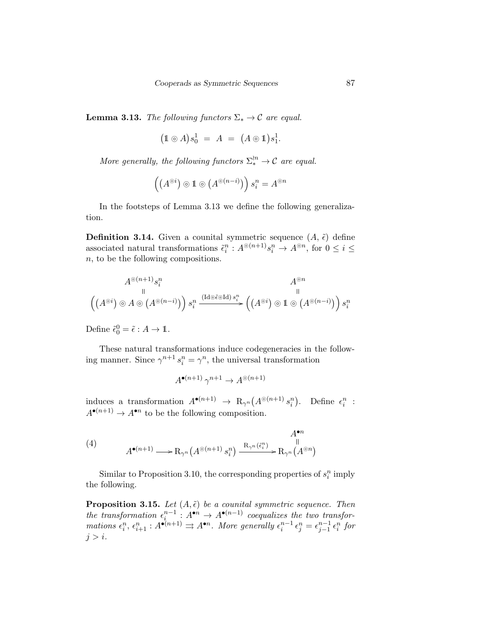**Lemma 3.13.** *The following functors*  $\Sigma_* \to \mathcal{C}$  *are equal.* 

$$
(1 \circledcirc A) s_0^1 = A = (A \circledcirc 1) s_1^1.
$$

*More generally, the following functors*  $\Sigma_*^{n} \to \mathcal{C}$  *are equal.* 

$$
\left(\left(A^{\odot i}\right)\odot 1\odot \left(A^{\odot (n-i)}\right)\right)s_i^n = A^{\odot n}
$$

In the footsteps of Lemma 3.13 we define the following generalization.

**Definition 3.14.** Given a counital symmetric sequence  $(A, \tilde{\epsilon})$  define associated natural transformations  $\tilde{\epsilon}_i^n : A^{\circledcirc(n+1)} s_i^n \to A^{\circledcirc n}$ , for  $0 \le i \le$ n, to be the following compositions.

$$
A^{\circledcirc (n+1)}s_i^n \qquad \qquad A^{\circledcirc n} \\ \left(\left(A^{\circlearrowright i}\right) \circledcirc A \circledcirc \left(A^{\circlearrowleft (n-i)}\right)\right)s_i^n \xrightarrow{\left(\mathrm{Id} \circledcirc \check{\epsilon} \circ \mathrm{Id}\right)s_i^n} \left(\left(A^{\circlearrowright i}\right) \circledcirc 1 \circledcirc \left(A^{\circlearrowleft (n-i)}\right)\right)s_i^n
$$

Define  $\tilde{\epsilon}_0^0 = \tilde{\epsilon} : A \to \mathbb{1}$ .

These natural transformations induce codegeneracies in the following manner. Since  $\gamma^{n+1} s_i^n = \gamma^n$ , the universal transformation

$$
A^{\bullet(n+1)} \, \gamma^{n+1} \to A^{\circledcirc(n+1)}
$$

induces a transformation  $A^{\bullet(n+1)} \to R_{\gamma^n}(A^{\otimes (n+1)} s_i^n)$ . Define  $\epsilon_i^n$ :  $A^{\bullet(n+1)} \to A^{\bullet n}$  to be the following composition.

(4) 
$$
A^{\bullet(n+1)} \longrightarrow R_{\gamma^n} (A^{\odot (n+1)} s_i^n) \xrightarrow{R_{\gamma^n} (\tilde{\epsilon}_i^n)} R_{\gamma^n} (A^{\odot n})
$$

Similar to Proposition 3.10, the corresponding properties of  $s_i^n$  imply the following.

**Proposition 3.15.** *Let*  $(A, \tilde{\epsilon})$  *be a counital symmetric sequence. Then* the transformation  $\epsilon_i^{n-1}$ :  $A^{\bullet n} \to A^{\bullet(n-1)}$  coequalizes the two transfor $mations \epsilon_i^n, \epsilon_{i+1}^n : A^{\bullet(n+1)} \rightrightarrows A^{\bullet n}$ *. More generally*  $\epsilon_i^{n-1} \epsilon_j^n = \epsilon_{j-1}^{n-1} \epsilon_i^n$  for  $j > i$ .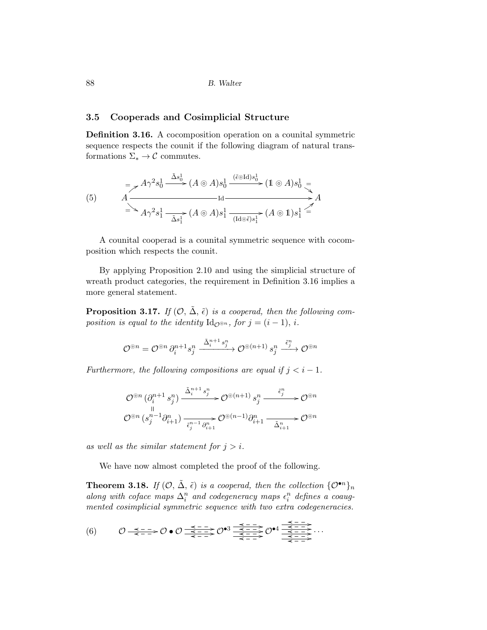### 3.5 Cooperads and Cosimplicial Structure

Definition 3.16. A cocomposition operation on a counital symmetric sequence respects the counit if the following diagram of natural transformations  $\Sigma_* \to \mathcal{C}$  commutes.

(5) Aγ<sup>2</sup> s 1 0 ∆˜ s 1 0 (A ⊚ A)s 1 0 (˜ǫ⊚Id)s 1 0 (1 ⊚ A)s 1 0 = A Id = = A Aγ<sup>2</sup> s 1 <sup>1</sup> ∆˜ <sup>s</sup> 1 1 (A ⊚ A)s 1 1 (Id⊚ǫ˜)s 1 1 (A ⊚ 1)s 1 1 =

A counital cooperad is a counital symmetric sequence with cocomposition which respects the counit.

By applying Proposition 2.10 and using the simplicial structure of wreath product categories, the requirement in Definition 3.16 implies a more general statement.

**Proposition 3.17.** *If*  $(\mathcal{O}, \tilde{\Delta}, \tilde{\epsilon})$  *is a cooperad, then the following composition is equal to the identity*  $\mathrm{Id}_{\mathcal{O}^{\otimes n}}$ *, for*  $j = (i - 1)$ *, i.* 

$$
\mathcal{O}^{\circledcirc n}=\mathcal{O}^{\circledcirc n} \, \partial_i^{n+1} s_j^n \xrightarrow{\tilde{\Delta}_i^{n+1} \, s_j^n} \mathcal{O}^{\circledcirc (n+1)} \, s_j^n \xrightarrow{\tilde{\epsilon}_j^n} \mathcal{O}^{\circledcirc n}
$$

*Furthermore, the following compositions are equal if*  $j < i - 1$ *.* 

$$
\mathcal{O}^{\circledcirc n}\left(\partial_i^{n+1}\,s_j^n\right)\xrightarrow{\tilde{\Delta}_i^{n+1}\,s_j^n}\mathcal{O}^{\circledcirc\left(n+1\right)}\,s_j^n\xrightarrow{\tilde{\epsilon}_j^n}\mathcal{O}^{\circledcirc n}
$$

$$
\mathcal{O}^{\circledcirc n}\left(s_j^{n-1}\partial_{i+1}^n\right)\xrightarrow[\tilde{\epsilon}_j^{n-1}\,\partial_{i+1}^n]\mathcal{O}^{\circledcirc\left(n-1\right)}\partial_{i+1}^n\xrightarrow{\tilde{\Delta}_{i+1}^n}\mathcal{O}^{\circledcirc n}
$$

*as well as the similar statement for*  $j > i$ .

We have now almost completed the proof of the following.

**Theorem 3.18.** *If*  $(\mathcal{O}, \tilde{\Delta}, \tilde{\epsilon})$  *is a cooperad, then the collection*  $\{\mathcal{O}^{\bullet n}\}_n$ *along with coface maps*  $\Delta_i^n$  *and codegeneracy maps*  $\epsilon_i^n$  *defines a coaugmented cosimplicial symmetric sequence with two extra codegeneracies.*

$$
(6) \qquad \mathcal{O} \xrightarrow{\prec - - -} \mathcal{O} \bullet \mathcal{O} \xrightarrow{\prec - - -} \mathcal{O} \bullet 3 \xrightarrow{\prec - - -} \xrightarrow{\prec - - -} \mathcal{O} \bullet 4 \xrightarrow{\prec - - -} \xrightarrow{\prec - - -} \xrightarrow{\prec - - -} \cdots
$$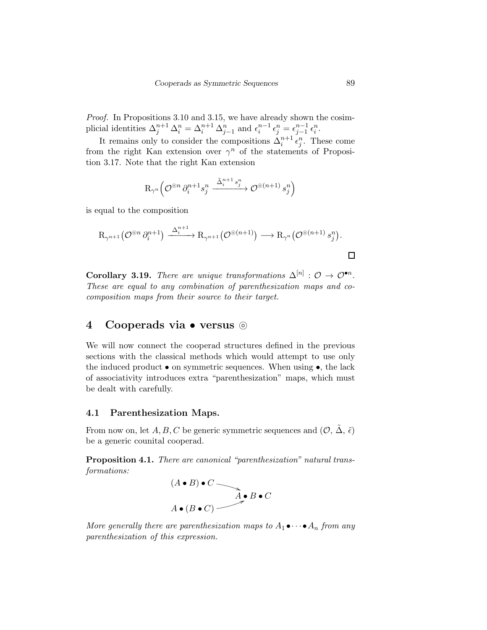*Proof.* In Propositions 3.10 and 3.15, we have already shown the cosimplicial identities  $\Delta_j^{n+1} \Delta_i^n = \Delta_i^{n+1} \Delta_{j-1}^n$  and  $\epsilon_i^{n-1} \epsilon_j^n = \epsilon_{j-1}^{n-1} \epsilon_i^n$ .

It remains only to consider the compositions  $\Delta_i^{n+1} \epsilon_j^n$ . These come from the right Kan extension over  $\gamma^n$  of the statements of Proposition 3.17. Note that the right Kan extension

$$
\mathrm{R}_{\gamma^n}\Big(\mathcal{O}^{\circledcirc n}\,\partial_i^{n+1} s_j^n\xrightarrow{\tilde{\Delta}_i^{n+1}\,s_j^n} \mathcal{O}^{\circledcirc(n+1)}\,s_j^n\Big)
$$

is equal to the composition

$$
\mathrm{R}_{\gamma^{n+1}}\big(\mathcal{O}^{\circledcirc n} \partial_i^{n+1}\big) \xrightarrow{\Delta_i^{n+1}} \mathrm{R}_{\gamma^{n+1}}\big(\mathcal{O}^{\circledcirc (n+1)}\big) \longrightarrow \mathrm{R}_{\gamma^n}\big(\mathcal{O}^{\circledcirc (n+1)} s_j^n\big).
$$

Corollary 3.19. *There are unique transformations*  $\Delta^{[n]} : \mathcal{O} \to \mathcal{O}^{\bullet n}$ . *These are equal to any combination of parenthesization maps and cocomposition maps from their source to their target.*

# 4 Cooperads via • versus ⊚

We will now connect the cooperad structures defined in the previous sections with the classical methods which would attempt to use only the induced product  $\bullet$  on symmetric sequences. When using  $\bullet$ , the lack of associativity introduces extra "parenthesization" maps, which must be dealt with carefully.

### 4.1 Parenthesization Maps.

From now on, let  $A, B, C$  be generic symmetric sequences and  $(\mathcal{O}, \tilde{\Delta}, \tilde{\epsilon})$ be a generic counital cooperad.

Proposition 4.1. *There are canonical "parenthesization" natural transformations:*

$$
(A \bullet B) \bullet C
$$
  

$$
A \bullet (B \bullet C)
$$
  

$$
A \bullet (B \bullet C)
$$

*More generally there are parenthesization maps to*  $A_1 \bullet \cdots \bullet A_n$  *from any parenthesization of this expression.*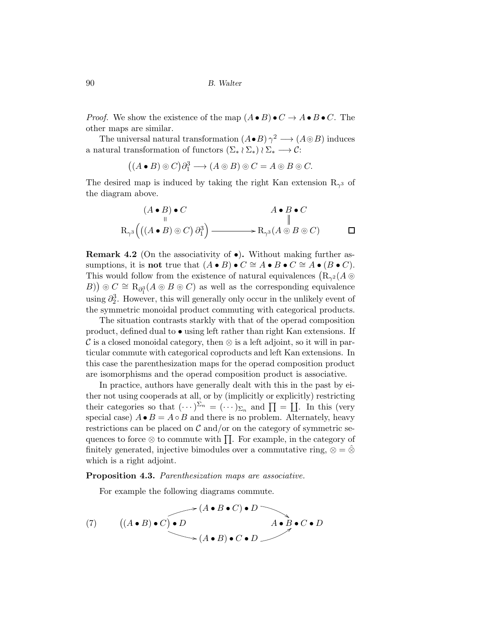*Proof.* We show the existence of the map  $(A \bullet B) \bullet C \to A \bullet B \bullet C$ . The other maps are similar.

The universal natural transformation  $(A \bullet B) \gamma^2 \longrightarrow (A \circledcirc B)$  induces a natural transformation of functors  $(\Sigma_* \wr \Sigma_*) \wr \Sigma_* \longrightarrow \mathcal{C}$ :

$$
((A \bullet B) \circ C)\partial_1^3 \longrightarrow (A \circ B) \circ C = A \circ B \circ C.
$$

The desired map is induced by taking the right Kan extension  $R_{\gamma^3}$  of the diagram above.

$$
(A \bullet B) \bullet C
$$
  
\n
$$
R_{\gamma^3}((A \bullet B) \circ C) \partial_1^3
$$
  
\n
$$
R_{\gamma^3}((A \bullet B) \circ C) \partial_1^3
$$
  
\n
$$
R_{\gamma^3}(A \circ B \circ C)
$$

**Remark 4.2** (On the associativity of  $\bullet$ ). Without making further assumptions, it is not true that  $(A \bullet B) \bullet C \cong A \bullet B \bullet C \cong A \bullet (B \bullet C)$ . This would follow from the existence of natural equivalences  $(R_{\gamma^2}(A \odot$ B) ©  $C \cong R_{\partial_1^3}(A \odot B \odot C)$  as well as the corresponding equivalence using  $\partial_2^3$ . However, this will generally only occur in the unlikely event of the symmetric monoidal product commuting with categorical products.

The situation contrasts starkly with that of the operad composition product, defined dual to  $\bullet$  using left rather than right Kan extensions. If C is a closed monoidal category, then  $\otimes$  is a left adjoint, so it will in particular commute with categorical coproducts and left Kan extensions. In this case the parenthesization maps for the operad composition product are isomorphisms and the operad composition product is associative.

In practice, authors have generally dealt with this in the past by either not using cooperads at all, or by (implicitly or explicitly) restricting their categories so that  $(\cdots)^{\Sigma_n} = (\cdots)_{\Sigma_n}$  and  $\prod = \coprod$ . In this (very special case)  $A \bullet B = A \circ B$  and there is no problem. Alternately, heavy restrictions can be placed on  $\mathcal C$  and/or on the category of symmetric sequences to force  $\otimes$  to commute with  $\prod$ . For example, in the category of finitely generated, injective bimodules over a commutative ring,  $\otimes = \hat{\otimes}$ which is a right adjoint.

Proposition 4.3. *Parenthesization maps are associative.*

For example the following diagrams commute.

(7) 
$$
((A \bullet B) \bullet C) \bullet D
$$
  

$$
(A \bullet B) \bullet C \bullet D
$$
  

$$
(A \bullet B) \bullet C \bullet D
$$
  

$$
(A \bullet B) \bullet C \bullet D
$$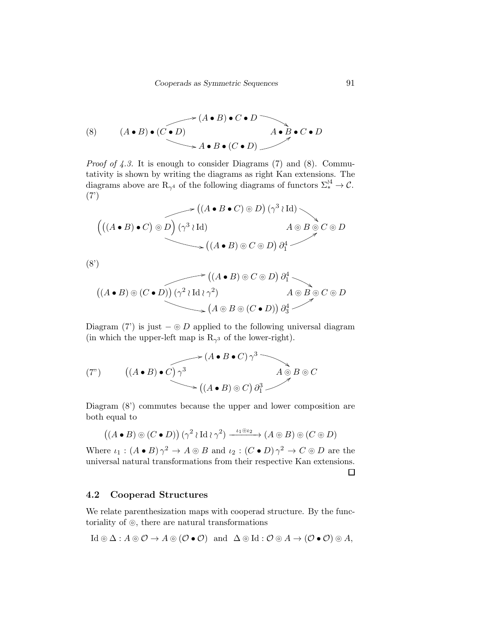(8) 
$$
(A \bullet B) \bullet (C \bullet D)
$$
  
\n
$$
\rightarrow A \bullet B \bullet (C \bullet D)
$$
  
\n
$$
\rightarrow A \bullet B \bullet (C \bullet D)
$$
  
\n
$$
\rightarrow A \bullet B \bullet (C \bullet D)
$$

*Proof of 4.3.* It is enough to consider Diagrams (7) and (8). Commutativity is shown by writing the diagrams as right Kan extensions. The diagrams above are R<sub>γ<sup>4</sub></sup> of the following diagrams of functors  $\Sigma_*^{l4} \to \mathcal{C}$ .</sub> (7')

$$
\begin{array}{c}\n\big((A \bullet B \bullet C) \circ D\big) \left(\gamma^3 \wr \text{Id}\right) \\
\big((A \bullet B) \bullet C\big) \circ D \big) \left(\gamma^3 \wr \text{Id}\right) \\
\searrow \left((A \bullet B) \circ C \circ D\right) \partial_1^4\n\end{array}
$$

(8')

$$
((A \bullet B) \circ (C \bullet D)) (\gamma^2 \wr \mathrm{Id} \wr \gamma^2) \qquad A \circ B \circ C \circ D
$$
  

$$
(A \circ B) \circ (C \bullet D)) (\gamma^2 \wr \mathrm{Id} \wr \gamma^2) \qquad A \circ B \circ C \circ D
$$
  

$$
(A \circ B \circ (C \bullet D)) \partial_3^4
$$

Diagram (7') is just  $-\odot D$  applied to the following universal diagram (in which the upper-left map is  $R_{\gamma^3}$  of the lower-right).

$$
(7") \qquad ((A \bullet B) \bullet C) \gamma^3
$$
  

$$
((A \bullet B) \bullet C) \gamma^3
$$
  

$$
((A \bullet B) \circ C) \partial_1^3
$$
  

$$
((A \bullet B) \circ C) \partial_1^3
$$

Diagram (8') commutes because the upper and lower composition are both equal to

$$
((A \bullet B) \circ (C \bullet D)) (\gamma^2 \wr \mathrm{Id} \wr \gamma^2) \xrightarrow{\iota_1 \circ \iota_2} (A \circ B) \circ (C \circ D)
$$

Where  $\iota_1: (A \bullet B) \gamma^2 \to A \circledcirc B$  and  $\iota_2: (C \bullet D) \gamma^2 \to C \circledcirc D$  are the universal natural transformations from their respective Kan extensions.

 $\Box$ 

### 4.2 Cooperad Structures

We relate parenthesization maps with cooperad structure. By the functoriality of ⊚, there are natural transformations

$$
\mathrm{Id} \circledcirc \Delta: A \circledcirc \mathcal{O} \to A \circledcirc (\mathcal{O} \bullet \mathcal{O}) \quad \text{and} \quad \Delta \circledcirc \mathrm{Id}: \mathcal{O} \circledcirc A \to (\mathcal{O} \bullet \mathcal{O}) \circledcirc A,
$$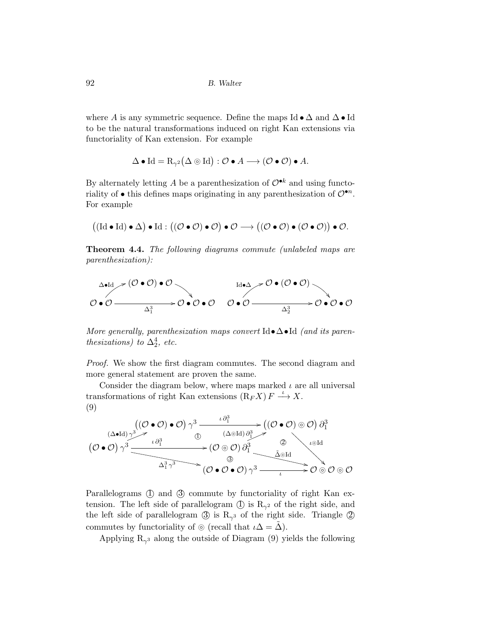where A is any symmetric sequence. Define the maps Id  $\bullet \Delta$  and  $\Delta \bullet$  Id to be the natural transformations induced on right Kan extensions via functoriality of Kan extension. For example

$$
\Delta \bullet \mathrm{Id} = \mathrm{R}_{\gamma^2} (\Delta \circledcirc \mathrm{Id}) : \mathcal{O} \bullet A \longrightarrow (\mathcal{O} \bullet \mathcal{O}) \bullet A.
$$

By alternately letting A be a parenthesization of  $\mathcal{O}^{\bullet k}$  and using functoriality of  $\bullet$  this defines maps originating in any parenthesization of  $\mathcal{O}^{\bullet n}$ . For example

$$
\big((\mathrm{Id}\bullet\mathrm{Id})\bullet\Delta\big)\bullet\mathrm{Id}:\big((\mathcal{O}\bullet\mathcal{O})\bullet\mathcal{O}\big)\bullet\mathcal{O}\longrightarrow\big((\mathcal{O}\bullet\mathcal{O})\bullet(\mathcal{O}\bullet\mathcal{O})\big)\bullet\mathcal{O}.
$$

Theorem 4.4. *The following diagrams commute (unlabeled maps are parenthesization):*

$$
\begin{array}{ccc}\n\Delta \bullet \mathrm{Id} & \nearrow (\mathcal{O} \bullet \mathcal{O}) \bullet \mathcal{O} \\
\longrightarrow & \Delta_1^3 & \longrightarrow \mathcal{O} \bullet \mathcal{O} \bullet \mathcal{O} & \longrightarrow \mathcal{O} \bullet \mathcal{O} \\
\longrightarrow & \Delta_2^3 & \longrightarrow \mathcal{O} \bullet \mathcal{O} & \longrightarrow \mathcal{O} \bullet \mathcal{O}\n\end{array}
$$

*More generally, parenthesization maps convert* Id•∆•Id *(and its parenthesizations*) to  $\Delta_2^4$ , *etc.* 

*Proof.* We show the first diagram commutes. The second diagram and more general statement are proven the same.

Consider the diagram below, where maps marked  $\iota$  are all universal transformations of right Kan extensions  $(R_F X) F \stackrel{\iota}{\longrightarrow} X$ . (9)

$$
(\mathcal{O} \bullet \mathcal{O}) \gamma^3 \xrightarrow{\iota \partial_1^3} (\mathcal{O} \bullet \mathcal{O}) \gamma^3 \xrightarrow{\iota \partial_1^3} (\mathcal{O} \bullet \mathcal{O}) \partial_1^3
$$
\n
$$
(\mathcal{O} \bullet \mathcal{O}) \gamma^3 \xrightarrow{\iota \partial_1^3} (\mathcal{O} \circ \mathcal{O}) \partial_1^3
$$
\n
$$
(\mathcal{O} \bullet \mathcal{O}) \gamma^3 \xrightarrow{\iota \partial_1^3} (\mathcal{O} \circ \mathcal{O}) \partial_1^3
$$
\n
$$
\xrightarrow{\iota \partial_1^3} (\mathcal{O} \circ \mathcal{O}) \partial_1^3
$$
\n
$$
(\mathcal{O} \bullet \mathcal{O} \bullet \mathcal{O}) \gamma^3 \xrightarrow{\iota \partial_1^3} \mathcal{O} \circ \mathcal{O} \circ \mathcal{O}
$$

Parallelograms  $\circled{1}$  and  $\circled{3}$  commute by functoriality of right Kan extension. The left side of parallelogram  $\mathbb{D}$  is  $\mathbb{R}_{\gamma^2}$  of the right side, and the left side of parallelogram  $\circled{3}$  is  $R_{\gamma^3}$  of the right side. Triangle  $\circled{2}$ commutes by functoriality of ⊚ (recall that  $\iota \Delta = \Delta$ ).

Applying  $R_{\gamma^3}$  along the outside of Diagram (9) yields the following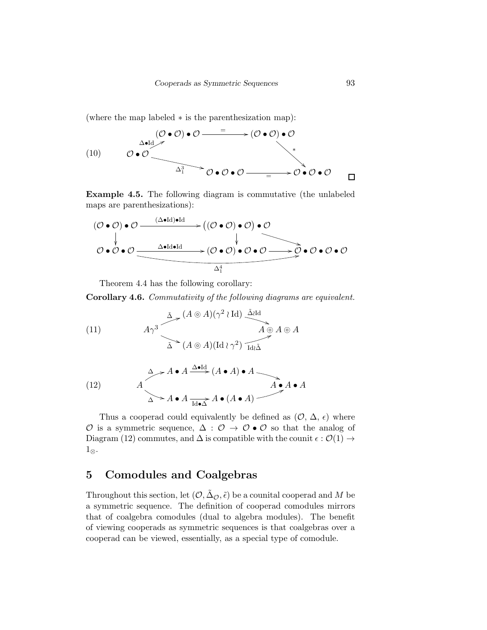(where the map labeled ∗ is the parenthesization map):

(10) 
$$
\begin{array}{ccc}\n & & \textcircled{0} \cdot \mathcal{O} & \longrightarrow (\mathcal{O} \cdot \mathcal{O}) \cdot \mathcal{O} \\
 & & \textcircled{0} & \longrightarrow & \\
 & & & \textcircled{0} & \longrightarrow & \\
 & & & & \textcircled{0} & \longrightarrow & \\
 & & & & & \textcircled{0} & \longrightarrow & \\
 & & & & & \textcircled{0} & \longrightarrow & \\
 & & & & & & \textcircled{0} & \longrightarrow & \\
 & & & & & & \textcircled{0} & \longrightarrow & \\
 & & & & & & \textcircled{0} & \longrightarrow & \\
 & & & & & & & \textcircled{0} & \longrightarrow & \\
 & & & & & & & \textcircled{0} & \longrightarrow & \\
 & & & & & & & \textcircled{0} & \longrightarrow & \\
 & & & & & & & \textcircled{0} & \longrightarrow & \\
 & & & & & & & \textcircled{0} & \longrightarrow & \\
 & & & & & & & \textcircled{0} & \longrightarrow & \\
 & & & & & & & \textcircled{0} & \longrightarrow & \\
 & & & & & & & \textcircled{0} & \longrightarrow & \n\end{array}
$$

Example 4.5. The following diagram is commutative (the unlabeled maps are parenthesizations):

$$
(\mathcal{O} \bullet \mathcal{O}) \bullet \mathcal{O} \xrightarrow{\quad (\Delta \bullet \text{Id}) \bullet \text{Id} \quad} \rightarrow ((\mathcal{O} \bullet \mathcal{O}) \bullet \mathcal{O}) \bullet \mathcal{O} \qquad \qquad \downarrow
$$
\n
$$
\mathcal{O} \bullet \mathcal{O} \bullet \mathcal{O} \xrightarrow{\quad \Delta \bullet \text{Id} \bullet \text{Id} \quad} (\mathcal{O} \bullet \mathcal{O}) \bullet \mathcal{O} \bullet \mathcal{O} \xrightarrow{\quad \downarrow} \mathcal{O} \bullet \mathcal{O} \bullet \mathcal{O} \bullet \mathcal{O}
$$

Theorem 4.4 has the following corollary:

Corollary 4.6. *Commutativity of the following diagrams are equivalent.*

(11)  
\n
$$
A\gamma^3
$$
\n $\Delta \sim (A \otimes A)(\gamma^2 \wr \text{Id}) \stackrel{\tilde{\Delta} \text{Id}}{\longrightarrow} A \otimes A$   
\n $\Delta \sim (A \otimes A)(\text{Id} \wr \gamma^2) \stackrel{\tilde{\Delta} \text{Id}}{\longrightarrow} A \otimes A$ 

(12) 
$$
A \rightarrow A \bullet A \xrightarrow{\Delta \bullet \text{Id}} (A \bullet A) \bullet A
$$
  
 $A \bullet A \bullet A$   
 $\Delta \rightarrow A \bullet A \xrightarrow{\text{Id} \bullet \Delta} A \bullet (A \bullet A)$ 

Thus a cooperad could equivalently be defined as  $(0, \Delta, \epsilon)$  where  $\mathcal O$  is a symmetric sequence,  $\Delta$  :  $\mathcal O$  →  $\mathcal O \bullet \mathcal O$  so that the analog of Diagram (12) commutes, and  $\Delta$  is compatible with the counit  $\epsilon : \mathcal{O}(1) \rightarrow$ 1⊗.

# 5 Comodules and Coalgebras

Throughout this section, let  $(0, \tilde{\Delta}_{\mathcal{O}}, \tilde{\epsilon})$  be a counital cooperad and M be a symmetric sequence. The definition of cooperad comodules mirrors that of coalgebra comodules (dual to algebra modules). The benefit of viewing cooperads as symmetric sequences is that coalgebras over a cooperad can be viewed, essentially, as a special type of comodule.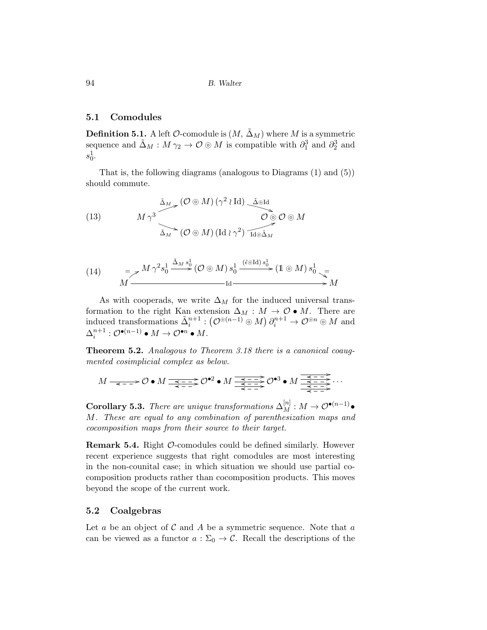### 5.1 Comodules

**Definition 5.1.** A left  $\mathcal{O}$ -comodule is  $(M, \Delta_M)$  where M is a symmetric sequence and  $\tilde{\Delta}_M : M \gamma_2 \to \mathcal{O} \otimes M$  is compatible with  $\partial_1^3$  and  $\partial_2^3$  and  $s_0^1$ .

That is, the following diagrams (analogous to Diagrams (1) and (5)) should commute.

(13) 
$$
M \gamma^3 \longrightarrow (\mathcal{O} \otimes M) (\gamma^2 \wr \mathrm{Id}) \longrightarrow \mathcal{O} \otimes \mathcal{O} \otimes M
$$

$$
\Delta_M \longrightarrow (\mathcal{O} \otimes M) (\mathrm{Id} \wr \gamma^2) \longrightarrow \mathcal{O} \otimes \mathcal{O} \otimes M
$$

(14) 
$$
= \mathcal{F} \stackrel{M}{\longrightarrow} \frac{\gamma^2 s_0^1}{\longrightarrow} \stackrel{\tilde{\Delta}_M s_0^1}{\longrightarrow} (\mathcal{O} \circledcirc M) s_0^1 \stackrel{(\tilde{\epsilon} \circledcirc \text{Id}) s_0^1}{\longrightarrow} (1 \circledcirc M) s_0^1 \stackrel{=}{\longrightarrow}
$$

$$
M \stackrel{=}{\longrightarrow} M
$$

As with cooperads, we write  $\Delta_M$  for the induced universal transformation to the right Kan extension  $\Delta_M : M \to \mathcal{O} \bullet M$ . There are induced transformations  $\tilde{\Delta}_i^{n+1} : (\mathcal{O}^{\odot (n-1)} \odot M) \partial_i^{n+1} \to \mathcal{O}^{\odot n} \odot M$  and  $\Delta^{n+1}_i : \mathcal{O}^{\bullet(n-1)} \bullet M \to \mathcal{O}^{\bullet n} \bullet M.$ 

Theorem 5.2. *Analogous to Theorem 3.18 there is a canonical coaugmented cosimplicial complex as below.*

$$
M \xrightarrow{\prec} \mathcal{O} \bullet M \xrightarrow{\prec} \mathcal{O} \bullet 2 \bullet M \xrightarrow{\prec} \mathcal{O} \bullet 2 \bullet M \xrightarrow{\prec} \mathcal{O} \bullet 3 \bullet M \xrightarrow{\prec} \mathcal{O} \bullet 3 \rightarrow \mathcal{O} \bullet 3 \rightarrow \mathcal{O} \bullet 3 \rightarrow \mathcal{O} \bullet 3 \rightarrow \mathcal{O} \bullet 3 \rightarrow \mathcal{O} \bullet 3 \rightarrow \mathcal{O} \bullet 3 \rightarrow \mathcal{O} \bullet 3 \rightarrow \mathcal{O} \bullet 3 \rightarrow \mathcal{O} \bullet 3 \rightarrow \mathcal{O} \bullet 3 \rightarrow \mathcal{O} \bullet 3 \rightarrow \mathcal{O} \bullet 3 \rightarrow \mathcal{O} \bullet 3 \rightarrow \mathcal{O} \bullet 3 \rightarrow \mathcal{O} \bullet 3 \rightarrow \mathcal{O} \bullet 3 \rightarrow \mathcal{O} \bullet 3 \rightarrow \mathcal{O} \bullet 3 \rightarrow \mathcal{O} \bullet 3 \rightarrow \mathcal{O} \bullet 3 \rightarrow \mathcal{O} \bullet 3 \rightarrow \mathcal{O} \bullet 3 \rightarrow \mathcal{O} \bullet 3 \rightarrow \mathcal{O} \bullet 3 \rightarrow \mathcal{O} \bullet 3 \rightarrow \mathcal{O} \bullet 3 \rightarrow \mathcal{O} \bullet 3 \rightarrow \mathcal{O} \bullet 3 \rightarrow \mathcal{O} \bullet 3 \rightarrow \mathcal{O} \bullet 3 \rightarrow \mathcal{O} \bullet 3 \rightarrow \mathcal{O} \bullet 3 \rightarrow \mathcal{O} \bullet 3 \rightarrow \mathcal{O} \bullet 3 \rightarrow \mathcal{O} \bullet 3 \rightarrow \mathcal{O} \bullet 3 \rightarrow \mathcal{O} \bullet 3 \rightarrow \mathcal{O} \bullet 3 \rightarrow \mathcal{O} \bullet 3 \rightarrow \mathcal{O} \bullet 3 \rightarrow \mathcal{O} \bullet 3 \rightarrow \mathcal{O} \bullet 3 \rightarrow \mathcal{O} \bullet 3 \rightarrow \mathcal{O} \bullet 3 \rightarrow \mathcal{O} \bullet 3 \rightarrow \mathcal{O} \bullet 3 \rightarrow \mathcal{O} \bullet 3 \rightarrow \mathcal{O} \bullet 3 \rightarrow \mathcal{O} \bullet 3 \rightarrow \mathcal{O} \bullet 3 \rightarrow \mathcal{O} \bullet 3 \rightarrow \mathcal{O} \bullet 3 \rightarrow \mathcal{O} \bullet 3 \rightarrow \mathcal{O} \bullet 3 \rightarrow \mathcal{O} \bullet 3 \rightarrow \mathcal{O} \bullet
$$

Corollary 5.3. *There are unique transformations*  $\Delta_M^{[n]} : M \to \mathcal{O}^{\bullet(n-1)}\bullet$ M*. These are equal to any combination of parenthesization maps and cocomposition maps from their source to their target.*

Remark 5.4. Right O-comodules could be defined similarly. However recent experience suggests that right comodules are most interesting in the non-counital case; in which situation we should use partial cocomposition products rather than cocomposition products. This moves beyond the scope of the current work.

### 5.2 Coalgebras

Let a be an object of  $\mathcal C$  and  $A$  be a symmetric sequence. Note that a can be viewed as a functor  $a : \Sigma_0 \to \mathcal{C}$ . Recall the descriptions of the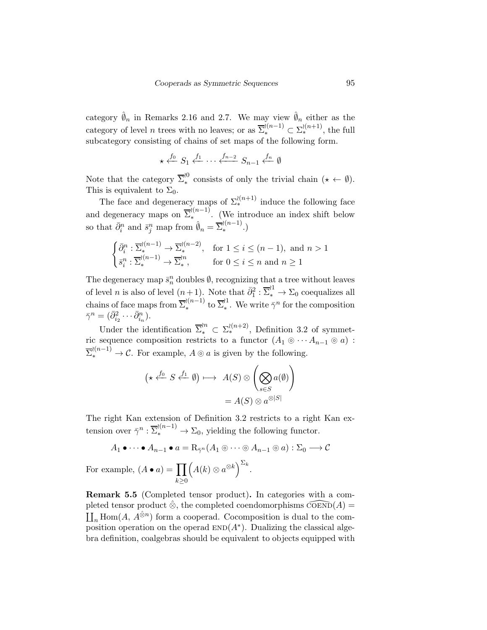category  $\hat{\varnothing}_n$  in Remarks 2.16 and 2.7. We may view  $\hat{\varnothing}_n$  either as the category of level *n* trees with no leaves; or as  $\overline{\Sigma}_{*}^{i(n-1)} \subset \Sigma_{*}^{i(n+1)}$ , the full subcategory consisting of chains of set maps of the following form.

$$
\star \xleftarrow{f_0} S_1 \xleftarrow{f_1} \cdots \xleftarrow{f_{n-2}} S_{n-1} \xleftarrow{f_n} \emptyset
$$

Note that the category  $\overline{\Sigma}^{\wr 0}_*$ <sup>c</sup> consists of only the trivial chain ( $\star \leftarrow \emptyset$ ). This is equivalent to  $\Sigma_0$ .

The face and degeneracy maps of  $\Sigma^{(n+1)}_*$  induce the following face and degeneracy maps on  $\overline{\Sigma}_{*}^{(n-1)}$  $\lambda_{*}^{(n-1)}$ . (We introduce an index shift below so that  $\bar{\partial}_i^n$  and  $\bar{s}_j^n$  map from  $\hat{\emptyset}_n = \overline{\Sigma}_{\ast}^{(n-1)}$  $\binom{(n-1)}{n}$ .)

$$
\begin{cases} \bar{\partial}_i^n : \overline{\Sigma}_*^{l(n-1)} \to \overline{\Sigma}_*^{l(n-2)}, & \text{for } 1 \le i \le (n-1), \text{ and } n > 1 \\ \bar{s}_i^n : \overline{\Sigma}_*^{l(n-1)} \to \overline{\Sigma}_*^{l n}, & \text{for } 0 \le i \le n \text{ and } n \ge 1 \end{cases}
$$

The degeneracy map  $\bar{s}_n^n$  doubles  $\emptyset$ , recognizing that a tree without leaves of level *n* is also of level  $(n+1)$ . Note that  $\bar{\partial}_1^2 : \overline{\Sigma}_*^{11} \to \Sigma_0$  coequalizes all chains of face maps from  $\overline{\Sigma}_{*}^{(n-1)}$  $\sum_{*}^{\{\{n-1\}}\text{ to }\overline{\Sigma}_{*}^{\{1\}}$ <sup> $\chi^1$ </sup> We write  $\bar{\gamma}^n$  for the composition  $\bar{\gamma}^n = (\bar{\partial}_{i_2}^2 \cdots \bar{\partial}_{i_n}^n).$ 

Under the identification  $\overline{\Sigma}^{in}_* \subset \Sigma^{l(n+2)}_*$ , Definition 3.2 of symmetric sequence composition restricts to a functor  $(A_1 \otimes \cdots A_{n-1} \otimes a)$ :  $\overline{\Sigma}^{(n-1)}_* \to \mathcal{C}$ . For example,  $A \odot a$  is given by the following.

$$
(\star \xleftarrow{f_0} S \xleftarrow{f_1} \emptyset) \longmapsto A(S) \otimes \left( \bigotimes_{s \in S} a(\emptyset) \right)
$$

$$
= A(S) \otimes a^{\otimes |S|}
$$

The right Kan extension of Definition 3.2 restricts to a right Kan extension over  $\bar{\gamma}^n : \overline{\Sigma}^{(n-1)}_* \to \Sigma_0$ , yielding the following functor.

$$
A_1 \bullet \cdots \bullet A_{n-1} \bullet a = \mathcal{R}_{\bar{\gamma}^n}(A_1 \otimes \cdots \otimes A_{n-1} \otimes a) : \Sigma_0 \longrightarrow \mathcal{C}
$$
  
For example,  $(A \bullet a) = \prod_{k \geq 0} (A(k) \otimes a^{\otimes k})^{\Sigma_k}$ .

Remark 5.5 (Completed tensor product). In categories with a completed tensor product  $\hat{\otimes}$ , the completed coendomorphisms  $\widehat{\mathrm{coen}}(A) =$  $\prod_n \text{Hom}(A, A^{\hat{\otimes} n})$  form a cooperad. Cocomposition is dual to the composition operation on the operad  $END(A^*)$ . Dualizing the classical algebra definition, coalgebras should be equivalent to objects equipped with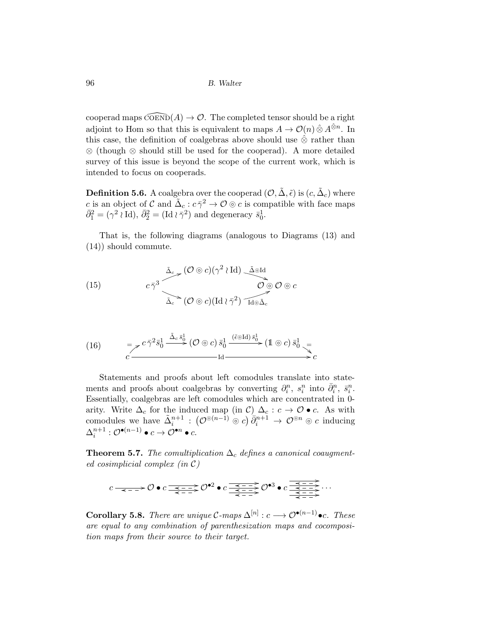cooperad maps  $\widehat{\mathrm{coen}}(A) \to \mathcal{O}$ . The completed tensor should be a right adjoint to Hom so that this is equivalent to maps  $A \to \mathcal{O}(n) \hat{\otimes} A^{\hat{\otimes} n}$ . In this case, the definition of coalgebras above should use  $\hat{\otimes}$  rather than ⊗ (though ⊗ should still be used for the cooperad). A more detailed survey of this issue is beyond the scope of the current work, which is intended to focus on cooperads.

**Definition 5.6.** A coalgebra over the cooperad  $(\mathcal{O}, \tilde{\Delta}, \tilde{\epsilon})$  is  $(c, \tilde{\Delta}_c)$  where c is an object of C and  $\tilde{\Delta}_c : c \bar{\gamma}^2 \to \mathcal{O} \circ c$  is compatible with face maps  $\bar{\partial}_1^2 = (\gamma^2 \wr \mathrm{Id}), \bar{\partial}_2^2 = (\mathrm{Id} \wr \bar{\gamma}^2)$  and degeneracy  $\bar{s}_0^1$ .

That is, the following diagrams (analogous to Diagrams (13) and (14)) should commute.

(15) 
$$
c\bar{\gamma}^{3} \overbrace{\tilde{\Delta}_{c} \rightarrow (\mathcal{O} \circ c)(\gamma^{2} \wr \mathrm{Id}) \underbrace{\tilde{\Delta} \circ \mathrm{Id}}_{\tilde{\Delta}_{c} \rightarrow (\mathcal{O} \circ c)(\mathrm{Id} \wr \bar{\gamma}^{2}) \uparrow \mathrm{Id} \circ \tilde{\Delta}_{c}}^{\tilde{\Delta} \circ \mathrm{Id}}
$$

(16) 
$$
= \mathcal{E}^c \overline{\gamma}^2 \overline{s}_0^1 \xrightarrow{\tilde{\Delta}_c \overline{s}_0^1} (\mathcal{O} \odot c) \overline{s}_0^1 \xrightarrow{(\tilde{\epsilon} \odot \text{Id}) \overline{s}_0^1} (\mathbb{1} \odot c) \overline{s}_0^1 \xrightarrow{=}
$$

$$
c \xrightarrow{\qquad \qquad \text{Id}} \overline{\qquad \qquad \text{Id}}
$$

Statements and proofs about left comodules translate into statements and proofs about coalgebras by converting  $\partial_i^n$ ,  $s_i^n$  into  $\bar{\partial}_i^n$ ,  $\bar{s}_i^n$ . Essentially, coalgebras are left comodules which are concentrated in 0 arity. Write  $\Delta_c$  for the induced map (in C)  $\Delta_c : c \to \mathcal{O} \bullet c$ . As with comodules we have  $\tilde{\Delta}_i^{n+1}$  :  $(\mathcal{O}^{\odot (n-1)} \odot c) \bar{\partial}_i^{n+1} \rightarrow \mathcal{O}^{\odot n} \odot c$  inducing  $\Delta^{n+1}_i : \mathcal{O}^{\bullet(n-1)} \bullet c \to \mathcal{O}^{\bullet n} \bullet c.$ 

**Theorem 5.7.** *The comultiplication*  $\Delta_c$  *defines a canonical coaugmented cosimplicial complex (in* C*)*

$$
c \xrightarrow{\prec} 0 \bullet c \xrightarrow{\prec} 0^{\bullet 2} \bullet c \xrightarrow{\prec} 0^{\bullet 3} \bullet c \xrightarrow{\prec} 0^{\bullet 3} \bullet c \xrightarrow{\prec} 0^{\prec} \xrightarrow{\prec} 0^{\prec} \xrightarrow{\prec} 0^{\prec} \xrightarrow{\prec} 0^{\prec} \xrightarrow{\prec} 0^{\prec} \xrightarrow{\prec} 0^{\prec} \xrightarrow{\prec} 0^{\prec} \xrightarrow{\prec} 0^{\prec} \xrightarrow{\prec} 0^{\prec} \xrightarrow{\prec} 0^{\prec} \xrightarrow{\prec} 0^{\prec} \xrightarrow{\prec} 0^{\prec} \xrightarrow{\prec} 0^{\prec} \xrightarrow{\prec} 0^{\prec} \xrightarrow{\prec} 0^{\prec} \xrightarrow{\prec} 0^{\prec} \xrightarrow{\prec} 0^{\prec} \xrightarrow{\prec} 0^{\prec} \xrightarrow{\prec} 0^{\prec} \xrightarrow{\prec} 0^{\prec} \xrightarrow{\prec} 0^{\prec} \xrightarrow{\prec} 0^{\prec} \xrightarrow{\prec} 0^{\prec} \xrightarrow{\prec} 0^{\prec} \xrightarrow{\prec} 0^{\prec} \xrightarrow{\prec} 0^{\prec} \xrightarrow{\prec} 0^{\prec} \xrightarrow{\prec} 0^{\prec} \xrightarrow{\prec} 0^{\prec} \xrightarrow{\prec} 0^{\prec} \xrightarrow{\prec} 0^{\prec} \xrightarrow{\prec} 0^{\prec} \xrightarrow{\prec} 0^{\prec} \xrightarrow{\prec} 0^{\prec} \xrightarrow{\prec} 0^{\prec} \xrightarrow{\prec} 0^{\prec} \xrightarrow{\prec} 0^{\prec} \xrightarrow{\prec} 0^{\prec} \xrightarrow{\prec} 0^{\prec} \xrightarrow{\prec} 0^{\prec} \xrightarrow{\prec} 0^{\prec} \xrightarrow{\prec} 0^{\prec} \xrightarrow{\prec} 0^{\prec} \xrightarrow{\prec} 0^{\prec} \xrightarrow{\prec} 0^{\prec} \xrightarrow{\prec} 0^{\prec} \xrightarrow{\prec} 0^{\prec} \xrightarrow{\prec} 0^{\prec} \xrightarrow{\prec} 0^{\prec} \xrightarrow{\prec} 0^{\prec} \xrightarrow{\prec} 0^{\prec} \xrightarrow{\prec} 0^{\prec} \xrightarrow{\prec} 0^{\prec} \xrightarrow{\prec} 0^{\prec} \xrightarrow{\prec} 0^{\prec} \xrightarrow{\prec} 0^{\prec} \xrightarrow{\prec} 0^{\prec} \xrightarrow{\prec} 0^{\prec}
$$

**Corollary 5.8.** *There are unique*  $C$ -maps  $\Delta^{[n]}: c \longrightarrow \mathcal{O}^{\bullet(n-1)} \bullet c$ . *These are equal to any combination of parenthesization maps and cocomposition maps from their source to their target.*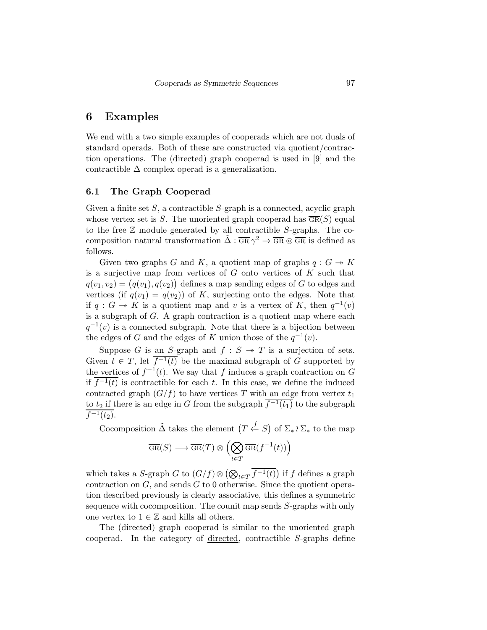## 6 Examples

We end with a two simple examples of cooperads which are not duals of standard operads. Both of these are constructed via quotient/contraction operations. The (directed) graph cooperad is used in [9] and the contractible  $\Delta$  complex operad is a generalization.

### 6.1 The Graph Cooperad

Given a finite set  $S$ , a contractible  $S$ -graph is a connected, acyclic graph whose vertex set is S. The unoriented graph cooperad has  $\overline{\text{GR}}(S)$  equal to the free  $\mathbb Z$  module generated by all contractible S-graphs. The cocomposition natural transformation  $\tilde{\Delta}$  :  $\overline{GR} \gamma^2 \to \overline{GR} \otimes \overline{GR}$  is defined as follows.

Given two graphs G and K, a quotient map of graphs  $q: G \rightarrow K$ is a surjective map from vertices of  $G$  onto vertices of  $K$  such that  $q(v_1, v_2) = (q(v_1), q(v_2))$  defines a map sending edges of G to edges and vertices (if  $q(v_1) = q(v_2)$ ) of K, surjecting onto the edges. Note that if  $q: G \to K$  is a quotient map and v is a vertex of K, then  $q^{-1}(v)$ is a subgraph of  $G$ . A graph contraction is a quotient map where each  $q^{-1}(v)$  is a connected subgraph. Note that there is a bijection between the edges of G and the edges of K union those of the  $q^{-1}(v)$ .

Suppose G is an S-graph and  $f : S \rightarrow T$  is a surjection of sets. Given  $t \in T$ , let  $\overline{f^{-1}(t)}$  be the maximal subgraph of G supported by the vertices of  $f^{-1}(t)$ . We say that f induces a graph contraction on G if  $f^{-1}(t)$  is contractible for each t. In this case, we define the induced contracted graph  $(G/f)$  to have vertices T with an edge from vertex  $t_1$ to  $t_2$  if there is an edge in G from the subgraph  $\overline{f^{-1}(t_1)}$  to the subgraph  $\overline{f^{-1}(t_2)}$ .

Cocomposition  $\tilde{\Delta}$  takes the element  $(T \stackrel{f}{\leftarrow} S)$  of  $\Sigma_* \wr \Sigma_*$  to the map

$$
\overline{\mathrm{GR}}(S) \longrightarrow \overline{\mathrm{GR}}(T) \otimes \Bigl( \bigotimes_{t \in T} \overline{\mathrm{GR}}(f^{-1}(t)) \Bigr)
$$

which takes a S-graph G to  $(G/f) \otimes (\bigotimes_{t \in T} \overline{f^{-1}(t)})$  if f defines a graph contraction on  $G$ , and sends  $G$  to 0 otherwise. Since the quotient operation described previously is clearly associative, this defines a symmetric sequence with cocomposition. The counit map sends S-graphs with only one vertex to  $1 \in \mathbb{Z}$  and kills all others.

The (directed) graph cooperad is similar to the unoriented graph cooperad. In the category of directed, contractible S-graphs define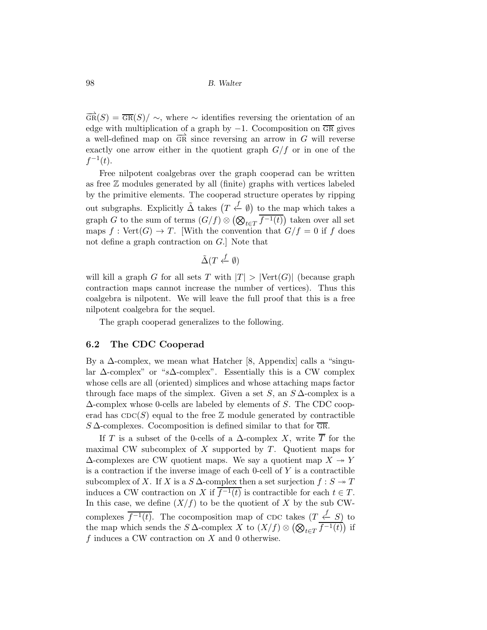$\overrightarrow{GR}(S) = \overline{GR}(S) / \sim$ , where ∼ identifies reversing the orientation of an edge with multiplication of a graph by  $-1$ . Cocomposition on  $\overline{GR}$  gives a well-defined map on  $\overline{GR}$  since reversing an arrow in G will reverse exactly one arrow either in the quotient graph  $G/f$  or in one of the  $f^{-1}(t)$ .

Free nilpotent coalgebras over the graph cooperad can be written as free Z modules generated by all (finite) graphs with vertices labeled by the primitive elements. The cooperad structure operates by ripping out subgraphs. Explicitly  $\tilde{\Delta}$  takes  $(T \stackrel{f}{\leftarrow} \emptyset)$  to the map which takes a graph G to the sum of terms  $(G/f) \otimes (\bigotimes_{t \in T} \overline{f^{-1}(t)})$  taken over all set maps  $f : \text{Vert}(G) \to T$ . With the convention that  $G/f = 0$  if f does not define a graph contraction on G.] Note that

$$
\tilde{\Delta}(T \stackrel{f}{\leftarrow} \emptyset)
$$

will kill a graph G for all sets T with  $|T| > |Vert(G)|$  (because graph contraction maps cannot increase the number of vertices). Thus this coalgebra is nilpotent. We will leave the full proof that this is a free nilpotent coalgebra for the sequel.

The graph cooperad generalizes to the following.

### 6.2 The CDC Cooperad

By a  $\Delta$ -complex, we mean what Hatcher [8, Appendix] calls a "singular  $\Delta$ -complex" or "s $\Delta$ -complex". Essentially this is a CW complex whose cells are all (oriented) simplices and whose attaching maps factor through face maps of the simplex. Given a set  $S$ , an  $S\Delta$ -complex is a  $\Delta$ -complex whose 0-cells are labeled by elements of S. The CDC cooperad has  $CDC(S)$  equal to the free Z module generated by contractible  $S\Delta$ -complexes. Cocomposition is defined similar to that for  $\overline{GR}$ .

If T is a subset of the 0-cells of a  $\Delta$ -complex X, write  $\overline{T}$  for the maximal CW subcomplex of  $X$  supported by  $T$ . Quotient maps for  $\Delta$ -complexes are CW quotient maps. We say a quotient map  $X \rightarrow Y$ is a contraction if the inverse image of each  $0$ -cell of  $Y$  is a contractible subcomplex of X. If X is a  $S \Delta$ -complex then a set surjection  $f : S \rightarrow T$ induces a CW contraction on X if  $f^{-1}(t)$  is contractible for each  $t \in T$ . In this case, we define  $(X/f)$  to be the quotient of X by the sub CWcomplexes  $\overline{f^{-1}(t)}$ . The cocomposition map of CDC takes  $(T \stackrel{f}{\leftarrow} S)$  to the map which sends the S  $\Delta$ -complex X to  $(X/f) \otimes (\bigotimes_{t \in T} \overline{f^{-1}(t)})$  if  $f$  induces a CW contraction on  $X$  and 0 otherwise.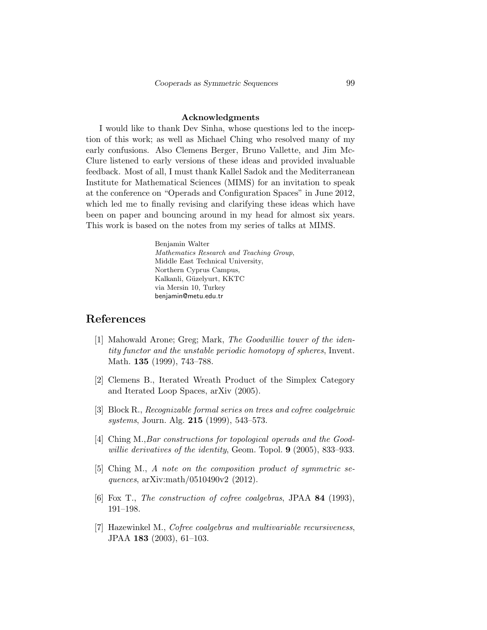### Acknowledgments

I would like to thank Dev Sinha, whose questions led to the inception of this work; as well as Michael Ching who resolved many of my early confusions. Also Clemens Berger, Bruno Vallette, and Jim Mc-Clure listened to early versions of these ideas and provided invaluable feedback. Most of all, I must thank Kallel Sadok and the Mediterranean Institute for Mathematical Sciences (MIMS) for an invitation to speak at the conference on "Operads and Configuration Spaces" in June 2012, which led me to finally revising and clarifying these ideas which have been on paper and bouncing around in my head for almost six years. This work is based on the notes from my series of talks at MIMS.

> Benjamin Walter Mathematics Research and Teaching Group, Middle East Technical University, Northern Cyprus Campus, Kalkanli, Güzelyurt, KKTC via Mersin 10, Turkey benjamin@metu.edu.tr

## References

- [1] Mahowald Arone; Greg; Mark, *The Goodwillie tower of the identity functor and the unstable periodic homotopy of spheres*, Invent. Math. **135** (1999), 743–788.
- [2] Clemens B., Iterated Wreath Product of the Simplex Category and Iterated Loop Spaces, arXiv (2005).
- [3] Block R., *Recognizable formal series on trees and cofree coalgebraic systems*, Journ. Alg. 215 (1999), 543–573.
- [4] Ching M.,*Bar constructions for topological operads and the Goodwillie derivatives of the identity*, Geom. Topol. 9 (2005), 833–933.
- [5] Ching M., *A note on the composition product of symmetric sequences*, arXiv:math/0510490v2 (2012).
- [6] Fox T., *The construction of cofree coalgebras*, JPAA 84 (1993), 191–198.
- [7] Hazewinkel M., *Cofree coalgebras and multivariable recursiveness*, JPAA 183 (2003), 61–103.